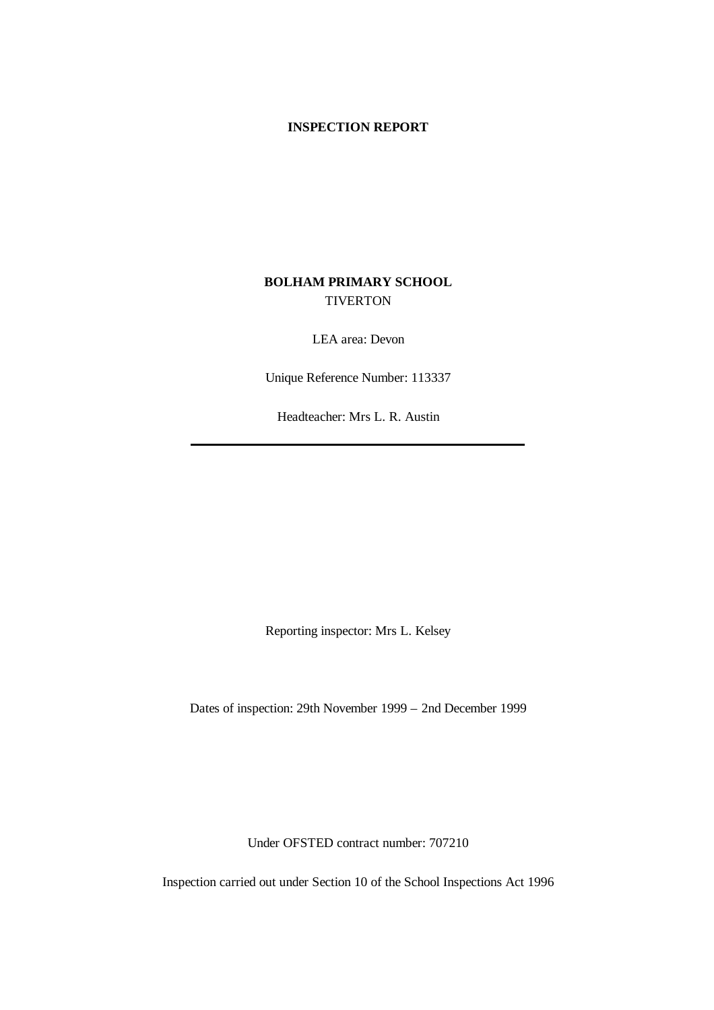#### **INSPECTION REPORT**

# **BOLHAM PRIMARY SCHOOL TIVERTON**

LEA area: Devon

Unique Reference Number: 113337

Headteacher: Mrs L. R. Austin

Reporting inspector: Mrs L. Kelsey

Dates of inspection: 29th November 1999 – 2nd December 1999

Under OFSTED contract number: 707210

Inspection carried out under Section 10 of the School Inspections Act 1996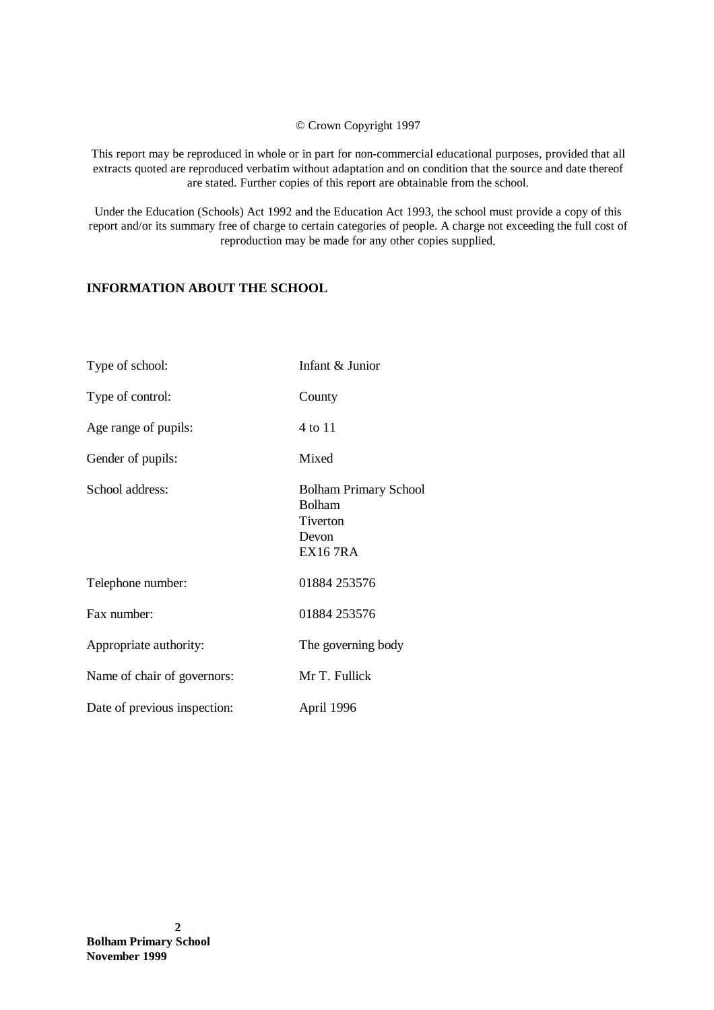#### © Crown Copyright 1997

This report may be reproduced in whole or in part for non-commercial educational purposes, provided that all extracts quoted are reproduced verbatim without adaptation and on condition that the source and date thereof are stated. Further copies of this report are obtainable from the school.

Under the Education (Schools) Act 1992 and the Education Act 1993, the school must provide a copy of this report and/or its summary free of charge to certain categories of people. A charge not exceeding the full cost of reproduction may be made for any other copies supplied.

#### **INFORMATION ABOUT THE SCHOOL**

| Type of school:              | Infant & Junior                                                                      |
|------------------------------|--------------------------------------------------------------------------------------|
| Type of control:             | County                                                                               |
| Age range of pupils:         | 4 to 11                                                                              |
| Gender of pupils:            | Mixed                                                                                |
| School address:              | <b>Bolham Primary School</b><br><b>Bolham</b><br>Tiverton<br>Devon<br><b>EX167RA</b> |
| Telephone number:            | 01884 253576                                                                         |
| Fax number:                  | 01884 253576                                                                         |
| Appropriate authority:       | The governing body                                                                   |
| Name of chair of governors:  | Mr T. Fullick                                                                        |
| Date of previous inspection: | April 1996                                                                           |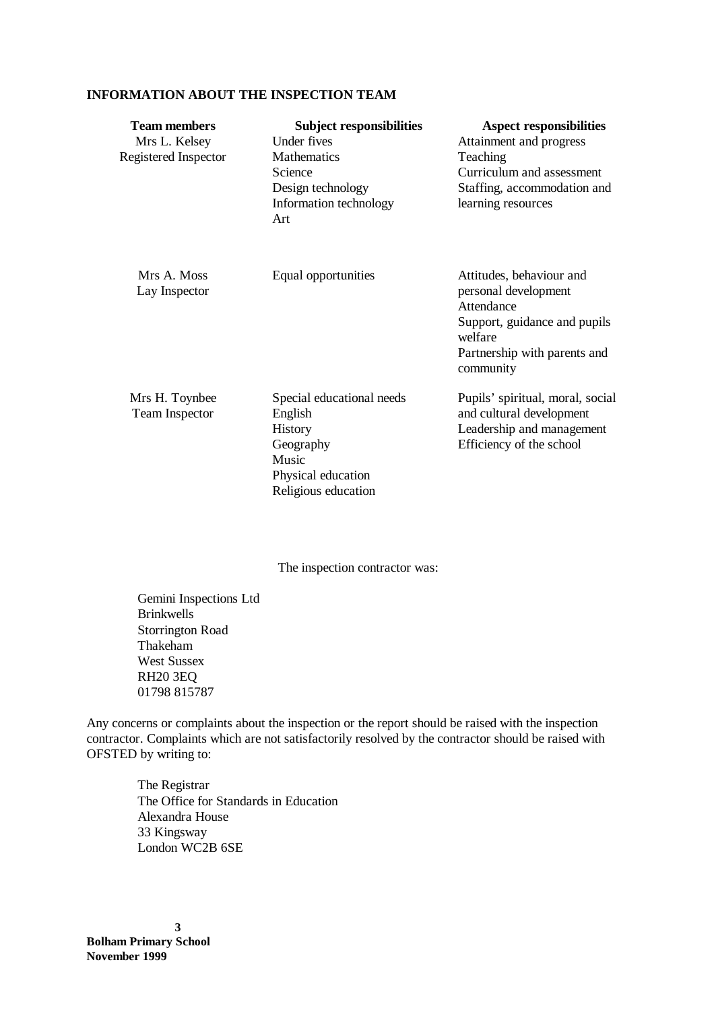#### **INFORMATION ABOUT THE INSPECTION TEAM**

| <b>Team members</b><br>Mrs L. Kelsey<br>Registered Inspector | <b>Subject responsibilities</b><br><b>Under fives</b><br>Mathematics<br>Science<br>Design technology<br>Information technology<br>Art | <b>Aspect responsibilities</b><br>Attainment and progress<br>Teaching<br>Curriculum and assessment<br>Staffing, accommodation and<br>learning resources |
|--------------------------------------------------------------|---------------------------------------------------------------------------------------------------------------------------------------|---------------------------------------------------------------------------------------------------------------------------------------------------------|
| Mrs A. Moss<br>Lay Inspector                                 | Equal opportunities                                                                                                                   | Attitudes, behaviour and<br>personal development<br>Attendance<br>Support, guidance and pupils<br>welfare<br>Partnership with parents and<br>community  |
| Mrs H. Toynbee<br>Team Inspector                             | Special educational needs<br>English<br><b>History</b><br>Geography<br>Music<br>Physical education<br>Religious education             | Pupils' spiritual, moral, social<br>and cultural development<br>Leadership and management<br>Efficiency of the school                                   |

The inspection contractor was:

Gemini Inspections Ltd Brinkwells Storrington Road Thakeham West Sussex RH20 3EQ 01798 815787

Any concerns or complaints about the inspection or the report should be raised with the inspection contractor. Complaints which are not satisfactorily resolved by the contractor should be raised with OFSTED by writing to:

The Registrar The Office for Standards in Education Alexandra House 33 Kingsway London WC2B 6SE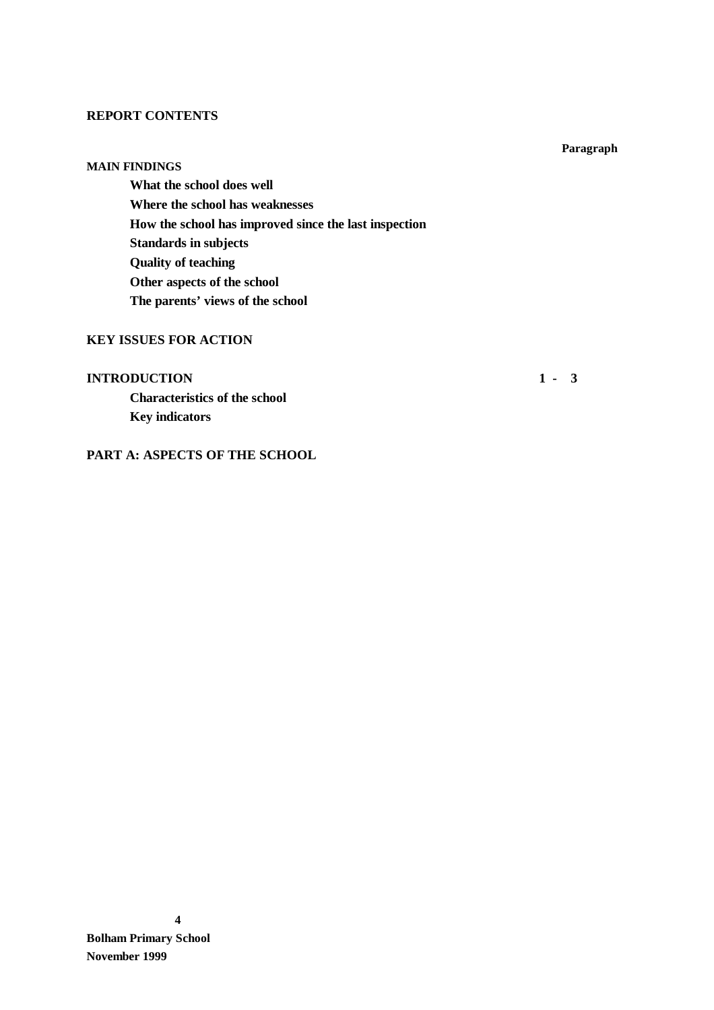#### **REPORT CONTENTS**

#### **MAIN FINDINGS**

**What the school does well Where the school has weaknesses How the school has improved since the last inspection Standards in subjects Quality of teaching Other aspects of the school The parents' views of the school**

## **KEY ISSUES FOR ACTION**

#### **INTRODUCTION 1 - 3**

**Characteristics of the school Key indicators**

#### **PART A: ASPECTS OF THE SCHOOL**

**Paragraph**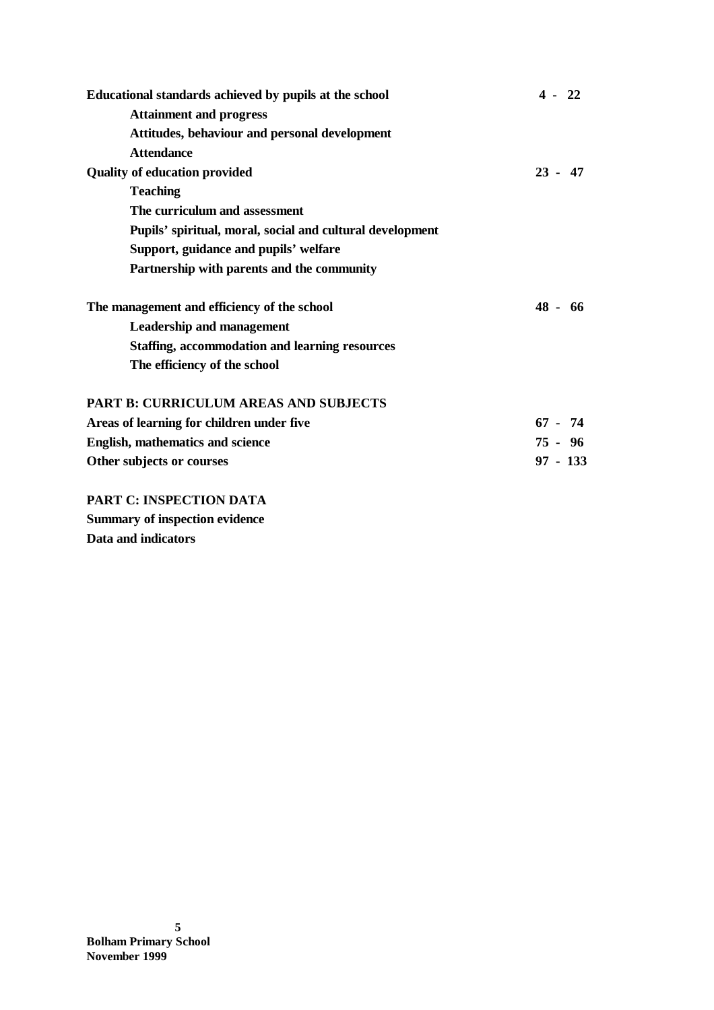| Educational standards achieved by pupils at the school    | $4 - 22$   |
|-----------------------------------------------------------|------------|
| <b>Attainment and progress</b>                            |            |
| Attitudes, behaviour and personal development             |            |
| <b>Attendance</b>                                         |            |
| <b>Quality of education provided</b>                      | $23 - 47$  |
| <b>Teaching</b>                                           |            |
| The curriculum and assessment                             |            |
| Pupils' spiritual, moral, social and cultural development |            |
| Support, guidance and pupils' welfare                     |            |
| Partnership with parents and the community                |            |
| The management and efficiency of the school               | 48 - 66    |
| <b>Leadership and management</b>                          |            |
| <b>Staffing, accommodation and learning resources</b>     |            |
| The efficiency of the school                              |            |
| <b>PART B: CURRICULUM AREAS AND SUBJECTS</b>              |            |
| Areas of learning for children under five                 | 67 - 74    |
| English, mathematics and science                          | 75 - 96    |
| Other subjects or courses                                 | $97 - 133$ |
| <b>PART C: INSPECTION DATA</b>                            |            |

**Summary of inspection evidence Data and indicators**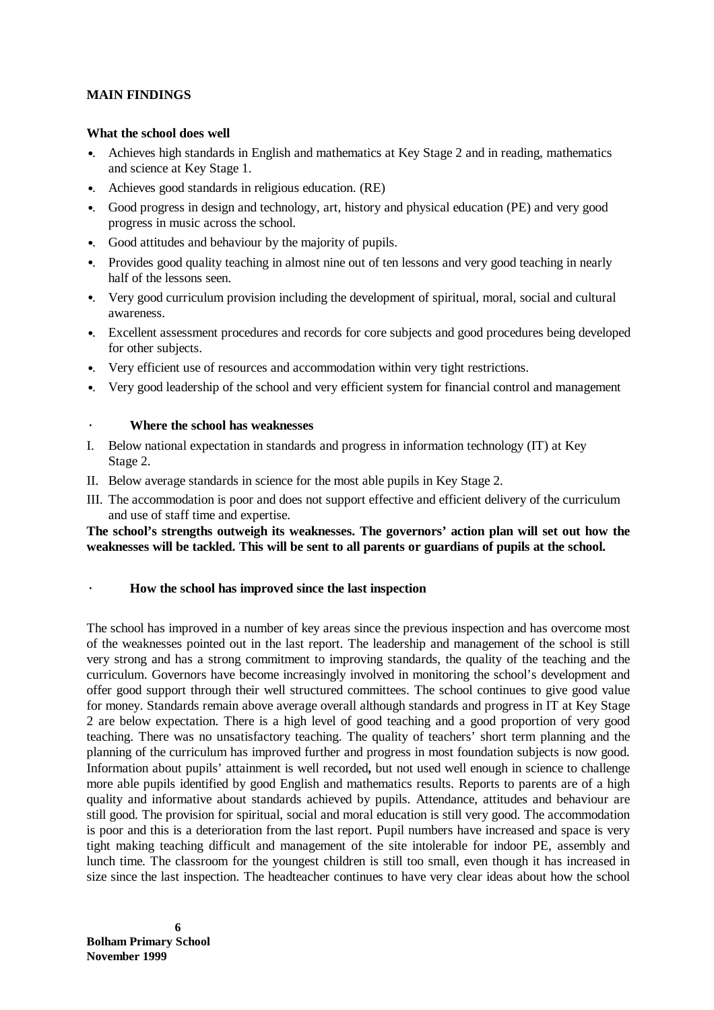#### **MAIN FINDINGS**

#### **What the school does well**

- •. Achieves high standards in English and mathematics at Key Stage 2 and in reading, mathematics and science at Key Stage 1.
- •. Achieves good standards in religious education. (RE)
- •. Good progress in design and technology, art, history and physical education (PE) and very good progress in music across the school.
- •. Good attitudes and behaviour by the majority of pupils.
- •. Provides good quality teaching in almost nine out of ten lessons and very good teaching in nearly half of the lessons seen.
- •. Very good curriculum provision including the development of spiritual, moral, social and cultural awareness.
- •. Excellent assessment procedures and records for core subjects and good procedures being developed for other subjects.
- •. Very efficient use of resources and accommodation within very tight restrictions.
- •. Very good leadership of the school and very efficient system for financial control and management

#### · **Where the school has weaknesses**

- I. Below national expectation in standards and progress in information technology (IT) at Key Stage 2.
- II. Below average standards in science for the most able pupils in Key Stage 2.
- III. The accommodation is poor and does not support effective and efficient delivery of the curriculum and use of staff time and expertise.

**The school's strengths outweigh its weaknesses. The governors' action plan will set out how the weaknesses will be tackled. This will be sent to all parents or guardians of pupils at the school.**

#### · **How the school has improved since the last inspection**

The school has improved in a number of key areas since the previous inspection and has overcome most of the weaknesses pointed out in the last report. The leadership and management of the school is still very strong and has a strong commitment to improving standards, the quality of the teaching and the curriculum. Governors have become increasingly involved in monitoring the school's development and offer good support through their well structured committees. The school continues to give good value for money. Standards remain above average overall although standards and progress in IT at Key Stage 2 are below expectation. There is a high level of good teaching and a good proportion of very good teaching. There was no unsatisfactory teaching. The quality of teachers' short term planning and the planning of the curriculum has improved further and progress in most foundation subjects is now good. Information about pupils' attainment is well recorded**,** but not used well enough in science to challenge more able pupils identified by good English and mathematics results. Reports to parents are of a high quality and informative about standards achieved by pupils. Attendance, attitudes and behaviour are still good. The provision for spiritual, social and moral education is still very good. The accommodation is poor and this is a deterioration from the last report. Pupil numbers have increased and space is very tight making teaching difficult and management of the site intolerable for indoor PE, assembly and lunch time. The classroom for the youngest children is still too small, even though it has increased in size since the last inspection. The headteacher continues to have very clear ideas about how the school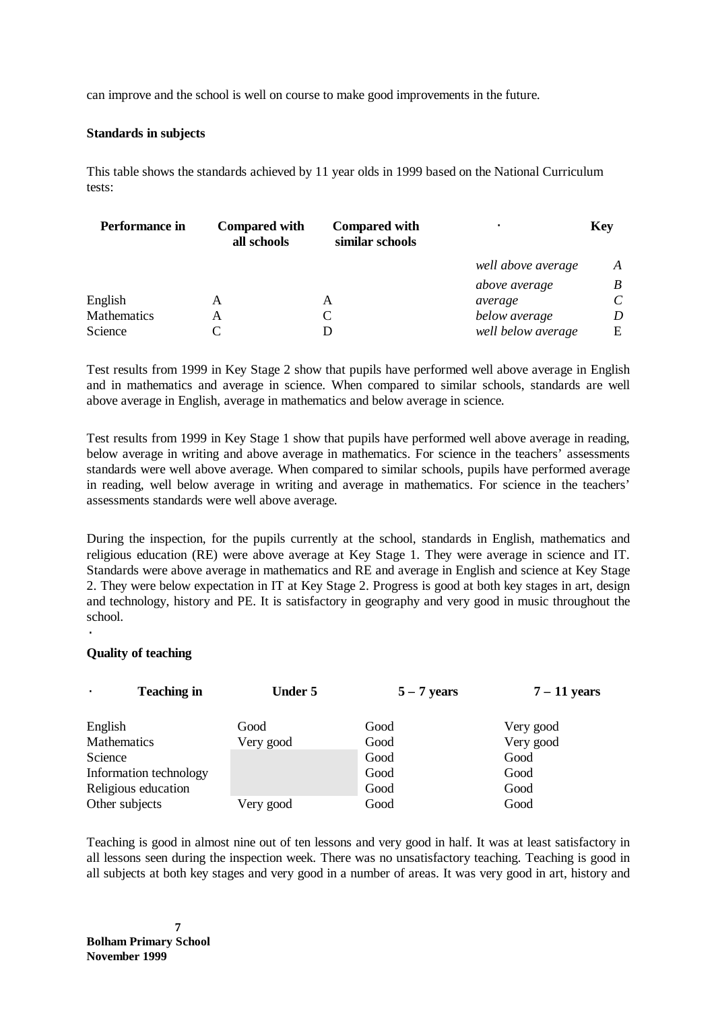can improve and the school is well on course to make good improvements in the future.

### **Standards in subjects**

This table shows the standards achieved by 11 year olds in 1999 based on the National Curriculum tests:

| <b>Compared with</b><br>all schools | <b>Compared with</b><br>similar schools |                    | <b>Key</b> |
|-------------------------------------|-----------------------------------------|--------------------|------------|
|                                     |                                         | well above average | A          |
|                                     |                                         | above average      | B          |
| А                                   | А                                       | average            |            |
| А                                   |                                         | below average      | D          |
|                                     |                                         | well below average | E          |
|                                     |                                         |                    |            |

Test results from 1999 in Key Stage 2 show that pupils have performed well above average in English and in mathematics and average in science. When compared to similar schools, standards are well above average in English, average in mathematics and below average in science.

Test results from 1999 in Key Stage 1 show that pupils have performed well above average in reading, below average in writing and above average in mathematics. For science in the teachers' assessments standards were well above average. When compared to similar schools, pupils have performed average in reading, well below average in writing and average in mathematics. For science in the teachers' assessments standards were well above average.

During the inspection, for the pupils currently at the school, standards in English, mathematics and religious education (RE) were above average at Key Stage 1. They were average in science and IT. Standards were above average in mathematics and RE and average in English and science at Key Stage 2. They were below expectation in IT at Key Stage 2. Progress is good at both key stages in art, design and technology, history and PE. It is satisfactory in geography and very good in music throughout the school.

#### **Quality of teaching**

·

| <b>Teaching in</b><br>$\ddot{\phantom{1}}$ | <b>Under 5</b> | $5 - 7$ years | $7 - 11$ years |
|--------------------------------------------|----------------|---------------|----------------|
| English                                    | Good           | Good          | Very good      |
| Mathematics                                | Very good      | Good          | Very good      |
| Science                                    |                | Good          | Good           |
| Information technology                     |                | Good          | Good           |
| Religious education                        |                | Good          | Good           |
| Other subjects                             | Very good      | Good          | Good           |

Teaching is good in almost nine out of ten lessons and very good in half. It was at least satisfactory in all lessons seen during the inspection week. There was no unsatisfactory teaching. Teaching is good in all subjects at both key stages and very good in a number of areas. It was very good in art, history and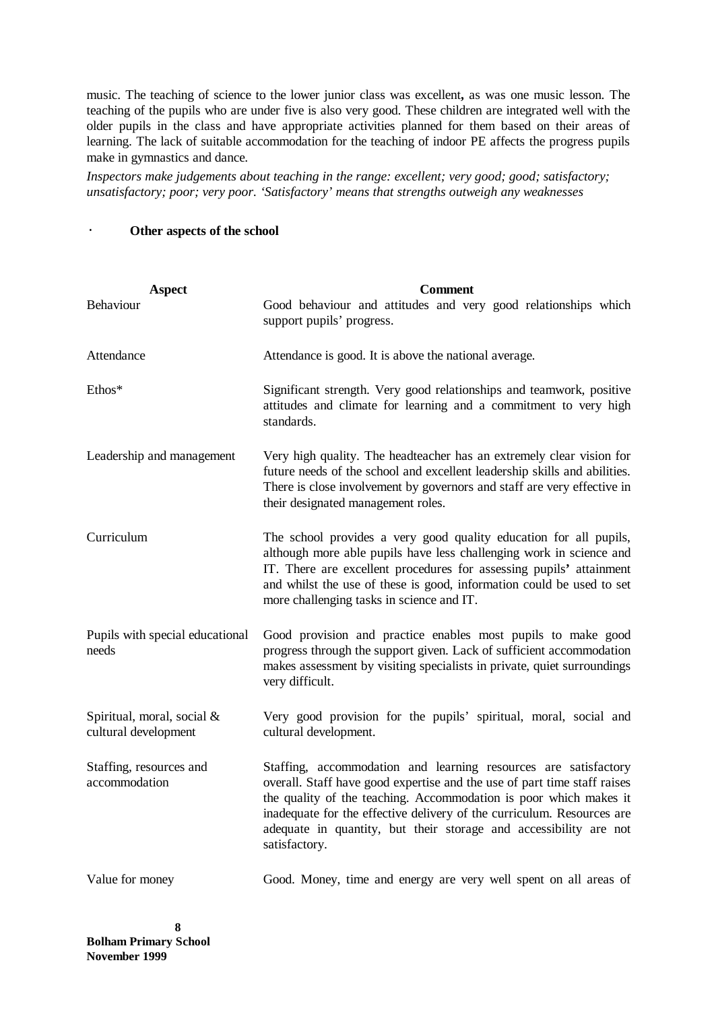music. The teaching of science to the lower junior class was excellent**,** as was one music lesson. The teaching of the pupils who are under five is also very good. These children are integrated well with the older pupils in the class and have appropriate activities planned for them based on their areas of learning. The lack of suitable accommodation for the teaching of indoor PE affects the progress pupils make in gymnastics and dance.

*Inspectors make judgements about teaching in the range: excellent; very good; good; satisfactory; unsatisfactory; poor; very poor. 'Satisfactory' means that strengths outweigh any weaknesses*

#### · **Other aspects of the school**

| <b>Aspect</b>                                      | <b>Comment</b>                                                                                                                                                                                                                                                                                                                                                                   |
|----------------------------------------------------|----------------------------------------------------------------------------------------------------------------------------------------------------------------------------------------------------------------------------------------------------------------------------------------------------------------------------------------------------------------------------------|
| Behaviour                                          | Good behaviour and attitudes and very good relationships which<br>support pupils' progress.                                                                                                                                                                                                                                                                                      |
| Attendance                                         | Attendance is good. It is above the national average.                                                                                                                                                                                                                                                                                                                            |
| Ethos*                                             | Significant strength. Very good relationships and teamwork, positive<br>attitudes and climate for learning and a commitment to very high<br>standards.                                                                                                                                                                                                                           |
| Leadership and management                          | Very high quality. The headteacher has an extremely clear vision for<br>future needs of the school and excellent leadership skills and abilities.<br>There is close involvement by governors and staff are very effective in<br>their designated management roles.                                                                                                               |
| Curriculum                                         | The school provides a very good quality education for all pupils,<br>although more able pupils have less challenging work in science and<br>IT. There are excellent procedures for assessing pupils' attainment<br>and whilst the use of these is good, information could be used to set<br>more challenging tasks in science and IT.                                            |
| Pupils with special educational<br>needs           | Good provision and practice enables most pupils to make good<br>progress through the support given. Lack of sufficient accommodation<br>makes assessment by visiting specialists in private, quiet surroundings<br>very difficult.                                                                                                                                               |
| Spiritual, moral, social &<br>cultural development | Very good provision for the pupils' spiritual, moral, social and<br>cultural development.                                                                                                                                                                                                                                                                                        |
| Staffing, resources and<br>accommodation           | Staffing, accommodation and learning resources are satisfactory<br>overall. Staff have good expertise and the use of part time staff raises<br>the quality of the teaching. Accommodation is poor which makes it<br>inadequate for the effective delivery of the curriculum. Resources are<br>adequate in quantity, but their storage and accessibility are not<br>satisfactory. |
| Value for money                                    | Good. Money, time and energy are very well spent on all areas of                                                                                                                                                                                                                                                                                                                 |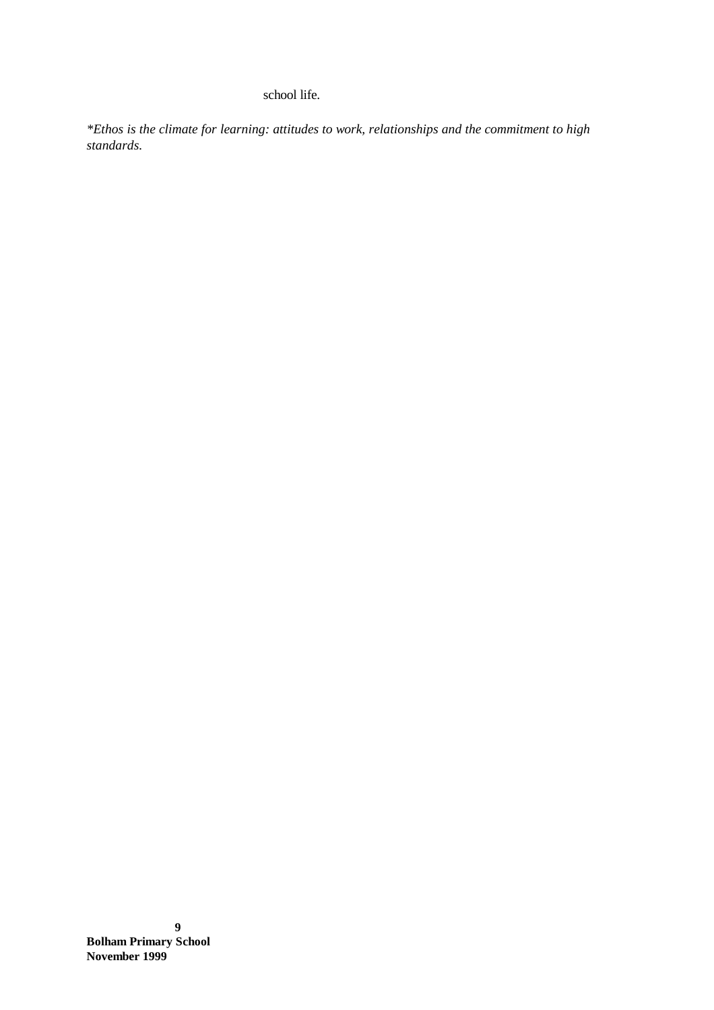#### school life.

*\*Ethos is the climate for learning: attitudes to work, relationships and the commitment to high standards.*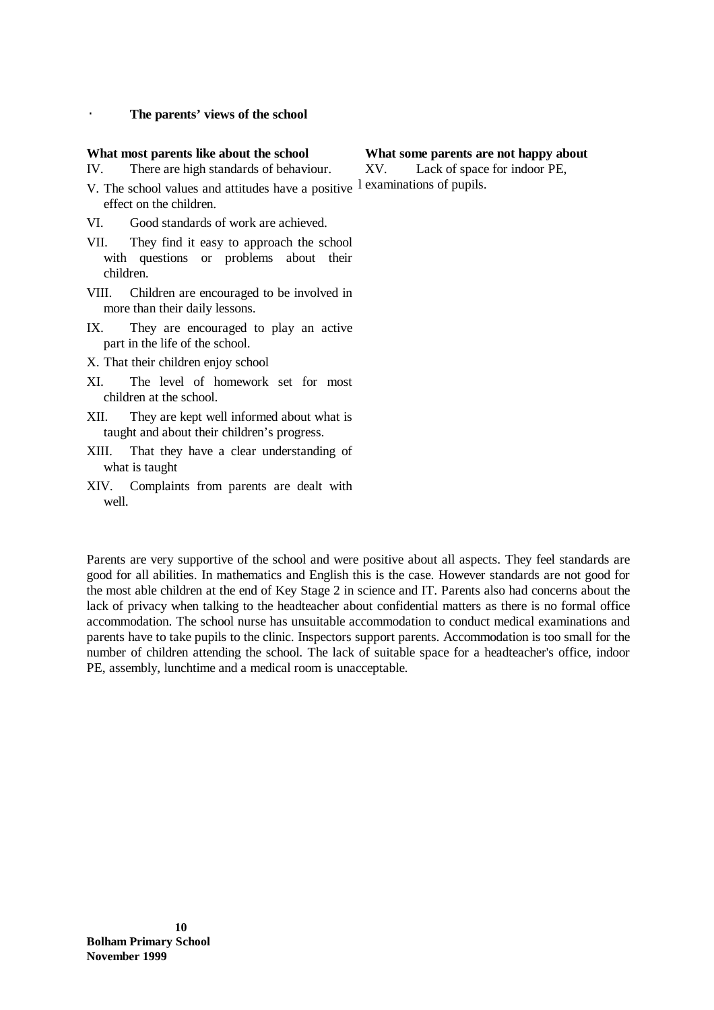#### The parents' views of the school

#### **What most parents like about the school What some parents are not happy about**

IV. There are high standards of behaviour.

- V. The school values and attitudes have a positive l examinations of pupils. effect on the children.
- VI. Good standards of work are achieved.
- VII. They find it easy to approach the school with questions or problems about their children.
- VIII. Children are encouraged to be involved in more than their daily lessons.
- IX. They are encouraged to play an active part in the life of the school.
- X. That their children enjoy school
- XI. The level of homework set for most children at the school.
- XII. They are kept well informed about what is taught and about their children's progress.
- XIII. That they have a clear understanding of what is taught
- XIV. Complaints from parents are dealt with well.

Parents are very supportive of the school and were positive about all aspects. They feel standards are good for all abilities. In mathematics and English this is the case. However standards are not good for the most able children at the end of Key Stage 2 in science and IT. Parents also had concerns about the lack of privacy when talking to the headteacher about confidential matters as there is no formal office accommodation. The school nurse has unsuitable accommodation to conduct medical examinations and parents have to take pupils to the clinic. Inspectors support parents. Accommodation is too small for the number of children attending the school. The lack of suitable space for a headteacher's office, indoor PE, assembly, lunchtime and a medical room is unacceptable.

XV. Lack of space for indoor PE,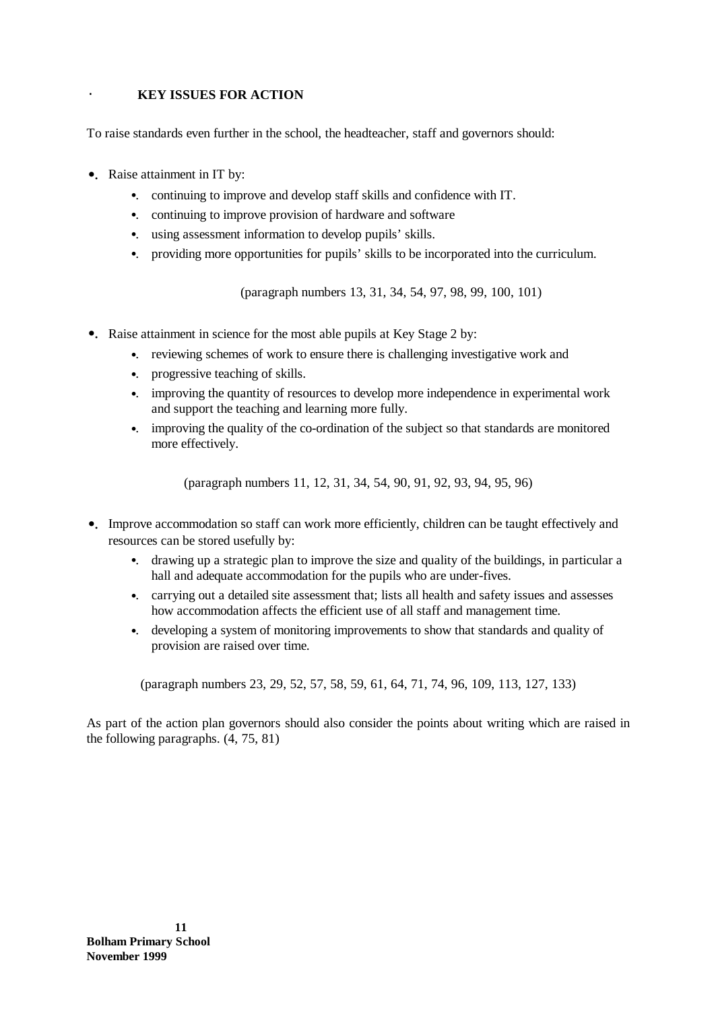#### · **KEY ISSUES FOR ACTION**

To raise standards even further in the school, the headteacher, staff and governors should:

- •. Raise attainment in IT by:
	- •. continuing to improve and develop staff skills and confidence with IT.
	- •. continuing to improve provision of hardware and software
	- •. using assessment information to develop pupils' skills.
	- •. providing more opportunities for pupils' skills to be incorporated into the curriculum.

(paragraph numbers 13, 31, 34, 54, 97, 98, 99, 100, 101)

- •. Raise attainment in science for the most able pupils at Key Stage 2 by:
	- •. reviewing schemes of work to ensure there is challenging investigative work and
	- •. progressive teaching of skills.
	- •. improving the quantity of resources to develop more independence in experimental work and support the teaching and learning more fully.
	- •. improving the quality of the co-ordination of the subject so that standards are monitored more effectively.

(paragraph numbers 11, 12, 31, 34, 54, 90, 91, 92, 93, 94, 95, 96)

- •. Improve accommodation so staff can work more efficiently, children can be taught effectively and resources can be stored usefully by:
	- •. drawing up a strategic plan to improve the size and quality of the buildings, in particular a hall and adequate accommodation for the pupils who are under-fives.
	- •. carrying out a detailed site assessment that; lists all health and safety issues and assesses how accommodation affects the efficient use of all staff and management time.
	- •. developing a system of monitoring improvements to show that standards and quality of provision are raised over time.

(paragraph numbers 23, 29, 52, 57, 58, 59, 61, 64, 71, 74, 96, 109, 113, 127, 133)

As part of the action plan governors should also consider the points about writing which are raised in the following paragraphs. (4, 75, 81)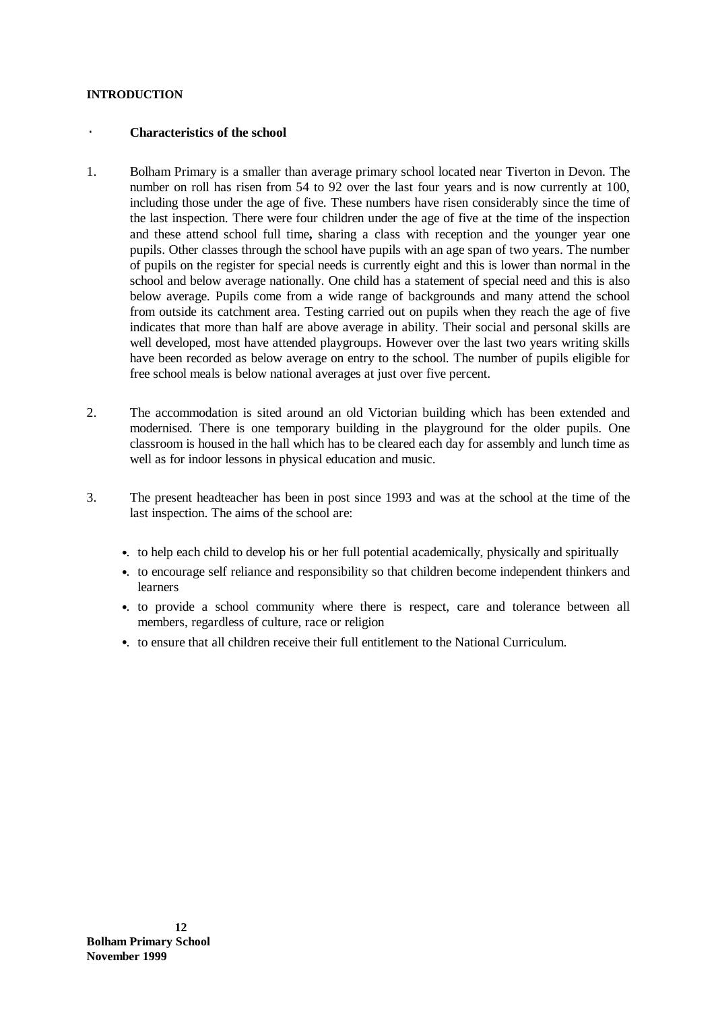#### **INTRODUCTION**

#### · **Characteristics of the school**

- 1. Bolham Primary is a smaller than average primary school located near Tiverton in Devon. The number on roll has risen from 54 to 92 over the last four years and is now currently at 100, including those under the age of five. These numbers have risen considerably since the time of the last inspection. There were four children under the age of five at the time of the inspection and these attend school full time**,** sharing a class with reception and the younger year one pupils. Other classes through the school have pupils with an age span of two years. The number of pupils on the register for special needs is currently eight and this is lower than normal in the school and below average nationally. One child has a statement of special need and this is also below average. Pupils come from a wide range of backgrounds and many attend the school from outside its catchment area. Testing carried out on pupils when they reach the age of five indicates that more than half are above average in ability. Their social and personal skills are well developed, most have attended playgroups. However over the last two years writing skills have been recorded as below average on entry to the school. The number of pupils eligible for free school meals is below national averages at just over five percent.
- 2. The accommodation is sited around an old Victorian building which has been extended and modernised. There is one temporary building in the playground for the older pupils. One classroom is housed in the hall which has to be cleared each day for assembly and lunch time as well as for indoor lessons in physical education and music.
- 3. The present headteacher has been in post since 1993 and was at the school at the time of the last inspection. The aims of the school are:
	- •. to help each child to develop his or her full potential academically, physically and spiritually
	- •. to encourage self reliance and responsibility so that children become independent thinkers and learners
	- •. to provide a school community where there is respect, care and tolerance between all members, regardless of culture, race or religion
	- •. to ensure that all children receive their full entitlement to the National Curriculum.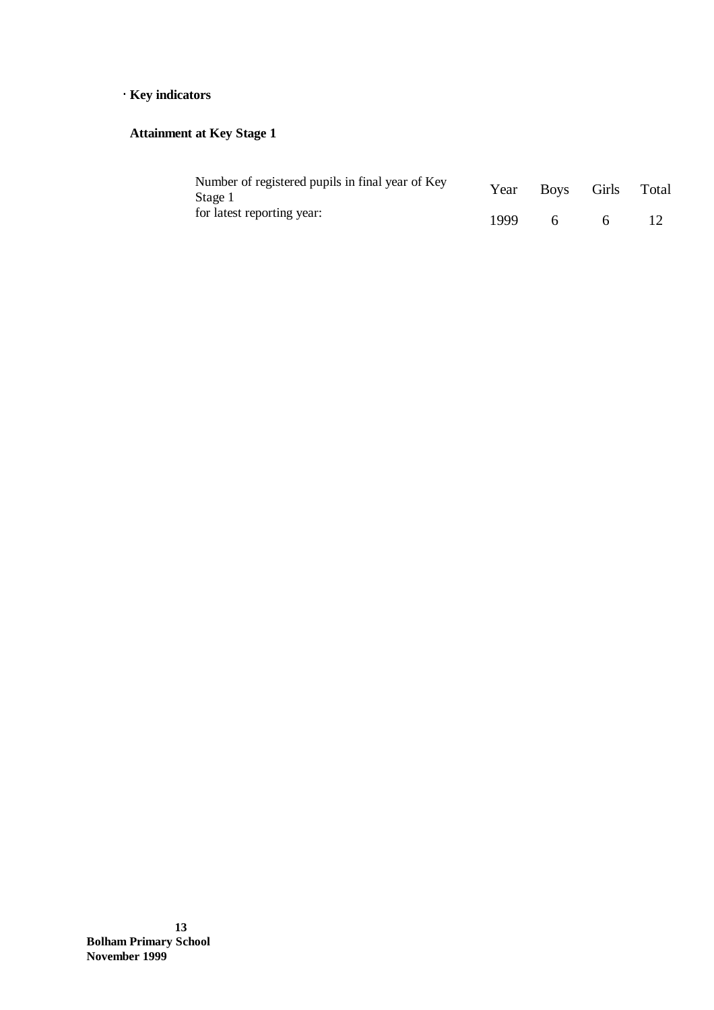# ·**Key indicators**

# **Attainment at Key Stage 1**

| Number of registered pupils in final year of Key<br>Stage 1 |      | Year Boys Girls Total |   |  |
|-------------------------------------------------------------|------|-----------------------|---|--|
| for latest reporting year:                                  | 1999 | - 6 -                 | 6 |  |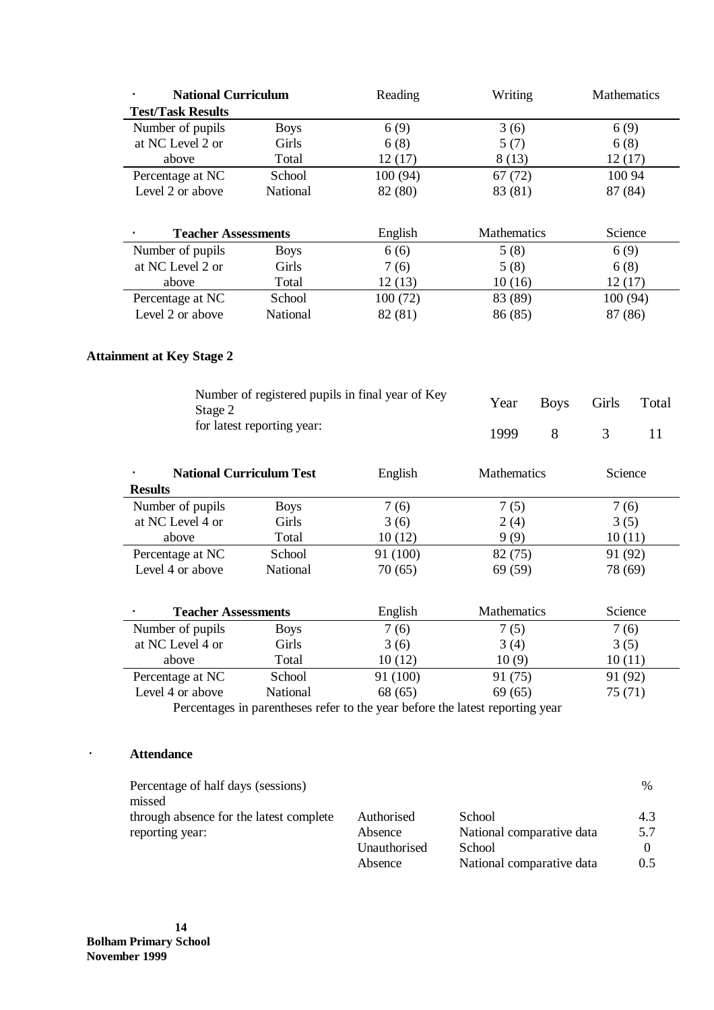| <b>National Curriculum</b> |                 | Reading | Writing            | Mathematics |
|----------------------------|-----------------|---------|--------------------|-------------|
| <b>Test/Task Results</b>   |                 |         |                    |             |
| Number of pupils           | <b>Boys</b>     | 6(9)    | 3(6)               | 6(9)        |
| at NC Level 2 or           | <b>Girls</b>    | 6(8)    | 5(7)               | 6(8)        |
| above                      | Total           | 12(17)  | 8 (13)             | 12(17)      |
| Percentage at NC           | School          | 100(94) | 67(72)             | 100 94      |
| Level 2 or above           | <b>National</b> | 82 (80) | 83 (81)            | 87 (84)     |
|                            |                 |         |                    |             |
| <b>Teacher Assessments</b> |                 | English | <b>Mathematics</b> | Science     |
| Number of pupils           | <b>Boys</b>     | 6(6)    | 5(8)               | 6(9)        |
| at NC Level 2 or           | <b>Girls</b>    | 7(6)    | 5(8)               | 6(8)        |
| above                      | Total           | 12(13)  | 10(16)             | 12(17)      |
| Percentage at NC           | School          | 100(72) | 83 (89)            | 100(94)     |
| Level 2 or above           | <b>National</b> | 82 (81) | 86 (85)            | 87 (86)     |
|                            |                 |         |                    |             |

# **Attainment at Key Stage 2**

| Stage 2                    |                                 | Number of registered pupils in final year of Key                              | Year        | <b>Boys</b> | Girls   | Total |
|----------------------------|---------------------------------|-------------------------------------------------------------------------------|-------------|-------------|---------|-------|
|                            | for latest reporting year:      |                                                                               | 1999        | 8           | 3       | 11    |
| <b>Results</b>             | <b>National Curriculum Test</b> | English                                                                       | Mathematics |             | Science |       |
| Number of pupils           | <b>Boys</b>                     | 7(6)                                                                          | 7(5)        |             | 7(6)    |       |
| at NC Level 4 or           | Girls                           | 3(6)                                                                          | 2(4)        |             | 3(5)    |       |
| above                      | Total                           | 10(12)                                                                        | 9(9)        |             | 10(11)  |       |
| Percentage at NC           | School                          | 91 (100)                                                                      | 82 (75)     |             | 91 (92) |       |
| Level 4 or above           | National                        | 70(65)                                                                        | 69 (59)     |             | 78 (69) |       |
| <b>Teacher Assessments</b> |                                 | English                                                                       | Mathematics |             | Science |       |
| Number of pupils           | <b>Boys</b>                     | 7(6)                                                                          | 7(5)        |             | 7(6)    |       |
| at NC Level 4 or           | Girls                           | 3(6)                                                                          | 3(4)        |             | 3(5)    |       |
| above                      | Total                           | 10(12)                                                                        | 10(9)       |             | 10(11)  |       |
| Percentage at NC           | School                          | 91 (100)                                                                      | 91 (75)     |             | 91 (92) |       |
| Level 4 or above           | National                        | 68 (65)                                                                       | 69(65)      |             | 75 (71) |       |
|                            |                                 | Percentages in parentheses refer to the year before the latest reporting year |             |             |         |       |

## · **Attendance**

| Percentage of half days (sessions)<br>missed |              |                           | $\%$ |
|----------------------------------------------|--------------|---------------------------|------|
| through absence for the latest complete      | Authorised   | <b>School</b>             | 4.3  |
| reporting year:                              | Absence      | National comparative data | 5.7  |
|                                              | Unauthorised | School                    |      |
|                                              | Absence      | National comparative data | 0.5  |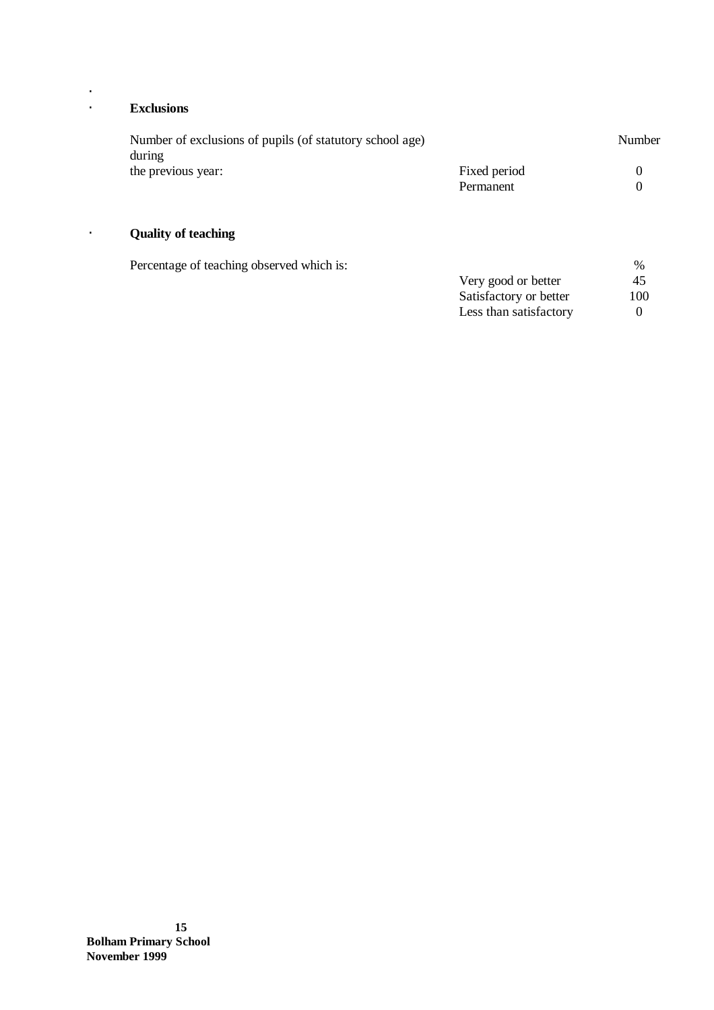# · **Exclusions**

·

| Number of exclusions of pupils (of statutory school age) |              | Number |
|----------------------------------------------------------|--------------|--------|
| during                                                   |              |        |
| the previous year:                                       | Fixed period |        |
|                                                          | Permanent    |        |
|                                                          |              |        |

# · **Quality of teaching**

| Percentage of teaching observed which is: |                        | $\frac{0}{0}$ |
|-------------------------------------------|------------------------|---------------|
|                                           | Very good or better    | 45            |
|                                           | Satisfactory or better | 100           |
|                                           | Less than satisfactory |               |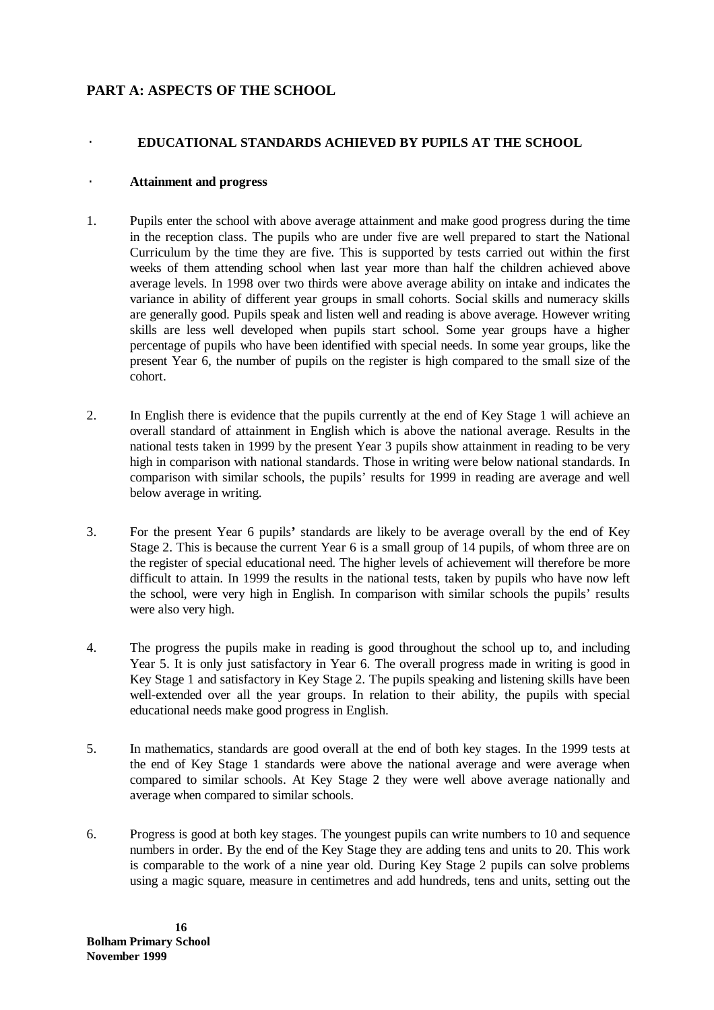# **PART A: ASPECTS OF THE SCHOOL**

### · **EDUCATIONAL STANDARDS ACHIEVED BY PUPILS AT THE SCHOOL**

#### · **Attainment and progress**

- 1. Pupils enter the school with above average attainment and make good progress during the time in the reception class. The pupils who are under five are well prepared to start the National Curriculum by the time they are five. This is supported by tests carried out within the first weeks of them attending school when last year more than half the children achieved above average levels. In 1998 over two thirds were above average ability on intake and indicates the variance in ability of different year groups in small cohorts. Social skills and numeracy skills are generally good. Pupils speak and listen well and reading is above average. However writing skills are less well developed when pupils start school. Some year groups have a higher percentage of pupils who have been identified with special needs. In some year groups, like the present Year 6, the number of pupils on the register is high compared to the small size of the cohort.
- 2. In English there is evidence that the pupils currently at the end of Key Stage 1 will achieve an overall standard of attainment in English which is above the national average. Results in the national tests taken in 1999 by the present Year 3 pupils show attainment in reading to be very high in comparison with national standards. Those in writing were below national standards. In comparison with similar schools, the pupils' results for 1999 in reading are average and well below average in writing.
- 3. For the present Year 6 pupils**'** standards are likely to be average overall by the end of Key Stage 2. This is because the current Year 6 is a small group of 14 pupils, of whom three are on the register of special educational need. The higher levels of achievement will therefore be more difficult to attain. In 1999 the results in the national tests, taken by pupils who have now left the school, were very high in English. In comparison with similar schools the pupils' results were also very high.
- 4. The progress the pupils make in reading is good throughout the school up to, and including Year 5. It is only just satisfactory in Year 6. The overall progress made in writing is good in Key Stage 1 and satisfactory in Key Stage 2. The pupils speaking and listening skills have been well-extended over all the year groups. In relation to their ability, the pupils with special educational needs make good progress in English.
- 5. In mathematics, standards are good overall at the end of both key stages. In the 1999 tests at the end of Key Stage 1 standards were above the national average and were average when compared to similar schools. At Key Stage 2 they were well above average nationally and average when compared to similar schools.
- 6. Progress is good at both key stages. The youngest pupils can write numbers to 10 and sequence numbers in order. By the end of the Key Stage they are adding tens and units to 20. This work is comparable to the work of a nine year old. During Key Stage 2 pupils can solve problems using a magic square, measure in centimetres and add hundreds, tens and units, setting out the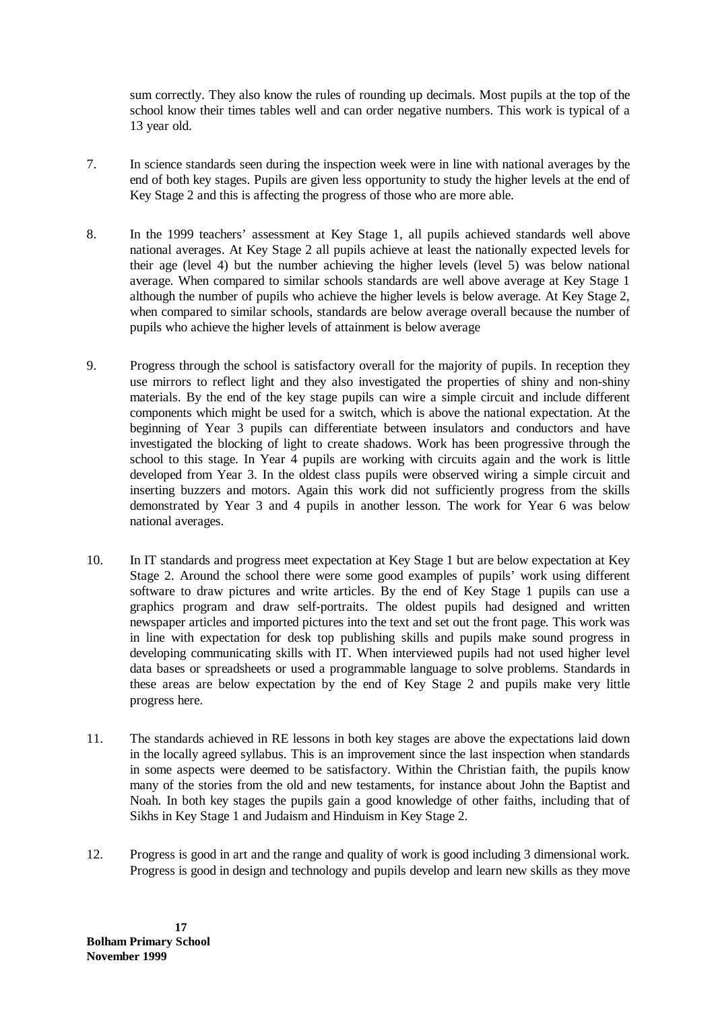sum correctly. They also know the rules of rounding up decimals. Most pupils at the top of the school know their times tables well and can order negative numbers. This work is typical of a 13 year old.

- 7. In science standards seen during the inspection week were in line with national averages by the end of both key stages. Pupils are given less opportunity to study the higher levels at the end of Key Stage 2 and this is affecting the progress of those who are more able.
- 8. In the 1999 teachers' assessment at Key Stage 1, all pupils achieved standards well above national averages. At Key Stage 2 all pupils achieve at least the nationally expected levels for their age (level 4) but the number achieving the higher levels (level 5) was below national average. When compared to similar schools standards are well above average at Key Stage 1 although the number of pupils who achieve the higher levels is below average. At Key Stage 2, when compared to similar schools, standards are below average overall because the number of pupils who achieve the higher levels of attainment is below average
- 9. Progress through the school is satisfactory overall for the majority of pupils. In reception they use mirrors to reflect light and they also investigated the properties of shiny and non-shiny materials. By the end of the key stage pupils can wire a simple circuit and include different components which might be used for a switch, which is above the national expectation. At the beginning of Year 3 pupils can differentiate between insulators and conductors and have investigated the blocking of light to create shadows. Work has been progressive through the school to this stage. In Year 4 pupils are working with circuits again and the work is little developed from Year 3. In the oldest class pupils were observed wiring a simple circuit and inserting buzzers and motors. Again this work did not sufficiently progress from the skills demonstrated by Year 3 and 4 pupils in another lesson. The work for Year 6 was below national averages.
- 10. In IT standards and progress meet expectation at Key Stage 1 but are below expectation at Key Stage 2. Around the school there were some good examples of pupils' work using different software to draw pictures and write articles. By the end of Key Stage 1 pupils can use a graphics program and draw self-portraits. The oldest pupils had designed and written newspaper articles and imported pictures into the text and set out the front page. This work was in line with expectation for desk top publishing skills and pupils make sound progress in developing communicating skills with IT. When interviewed pupils had not used higher level data bases or spreadsheets or used a programmable language to solve problems. Standards in these areas are below expectation by the end of Key Stage 2 and pupils make very little progress here.
- 11. The standards achieved in RE lessons in both key stages are above the expectations laid down in the locally agreed syllabus. This is an improvement since the last inspection when standards in some aspects were deemed to be satisfactory. Within the Christian faith, the pupils know many of the stories from the old and new testaments, for instance about John the Baptist and Noah. In both key stages the pupils gain a good knowledge of other faiths, including that of Sikhs in Key Stage 1 and Judaism and Hinduism in Key Stage 2.
- 12. Progress is good in art and the range and quality of work is good including 3 dimensional work. Progress is good in design and technology and pupils develop and learn new skills as they move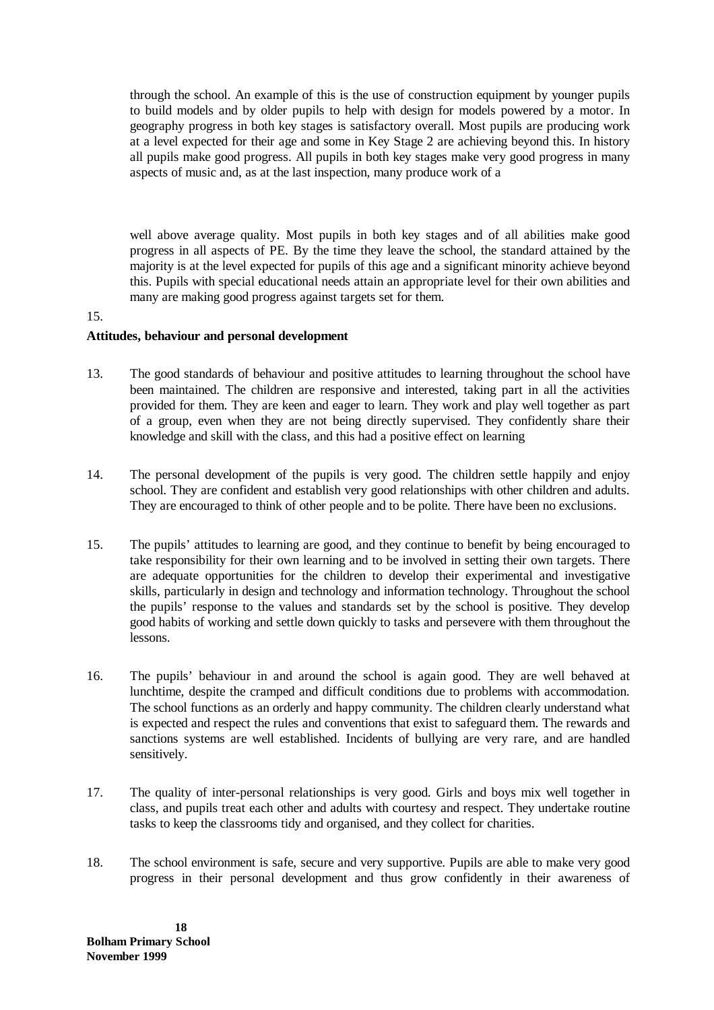through the school. An example of this is the use of construction equipment by younger pupils to build models and by older pupils to help with design for models powered by a motor. In geography progress in both key stages is satisfactory overall. Most pupils are producing work at a level expected for their age and some in Key Stage 2 are achieving beyond this. In history all pupils make good progress. All pupils in both key stages make very good progress in many aspects of music and, as at the last inspection, many produce work of a

well above average quality. Most pupils in both key stages and of all abilities make good progress in all aspects of PE. By the time they leave the school, the standard attained by the majority is at the level expected for pupils of this age and a significant minority achieve beyond this. Pupils with special educational needs attain an appropriate level for their own abilities and many are making good progress against targets set for them.

#### 15.

#### **Attitudes, behaviour and personal development**

- 13. The good standards of behaviour and positive attitudes to learning throughout the school have been maintained. The children are responsive and interested, taking part in all the activities provided for them. They are keen and eager to learn. They work and play well together as part of a group, even when they are not being directly supervised. They confidently share their knowledge and skill with the class, and this had a positive effect on learning
- 14. The personal development of the pupils is very good. The children settle happily and enjoy school. They are confident and establish very good relationships with other children and adults. They are encouraged to think of other people and to be polite. There have been no exclusions.
- 15. The pupils' attitudes to learning are good, and they continue to benefit by being encouraged to take responsibility for their own learning and to be involved in setting their own targets. There are adequate opportunities for the children to develop their experimental and investigative skills, particularly in design and technology and information technology. Throughout the school the pupils' response to the values and standards set by the school is positive. They develop good habits of working and settle down quickly to tasks and persevere with them throughout the lessons.
- 16. The pupils' behaviour in and around the school is again good. They are well behaved at lunchtime, despite the cramped and difficult conditions due to problems with accommodation. The school functions as an orderly and happy community. The children clearly understand what is expected and respect the rules and conventions that exist to safeguard them. The rewards and sanctions systems are well established. Incidents of bullying are very rare, and are handled sensitively.
- 17. The quality of inter-personal relationships is very good. Girls and boys mix well together in class, and pupils treat each other and adults with courtesy and respect. They undertake routine tasks to keep the classrooms tidy and organised, and they collect for charities.
- 18. The school environment is safe, secure and very supportive. Pupils are able to make very good progress in their personal development and thus grow confidently in their awareness of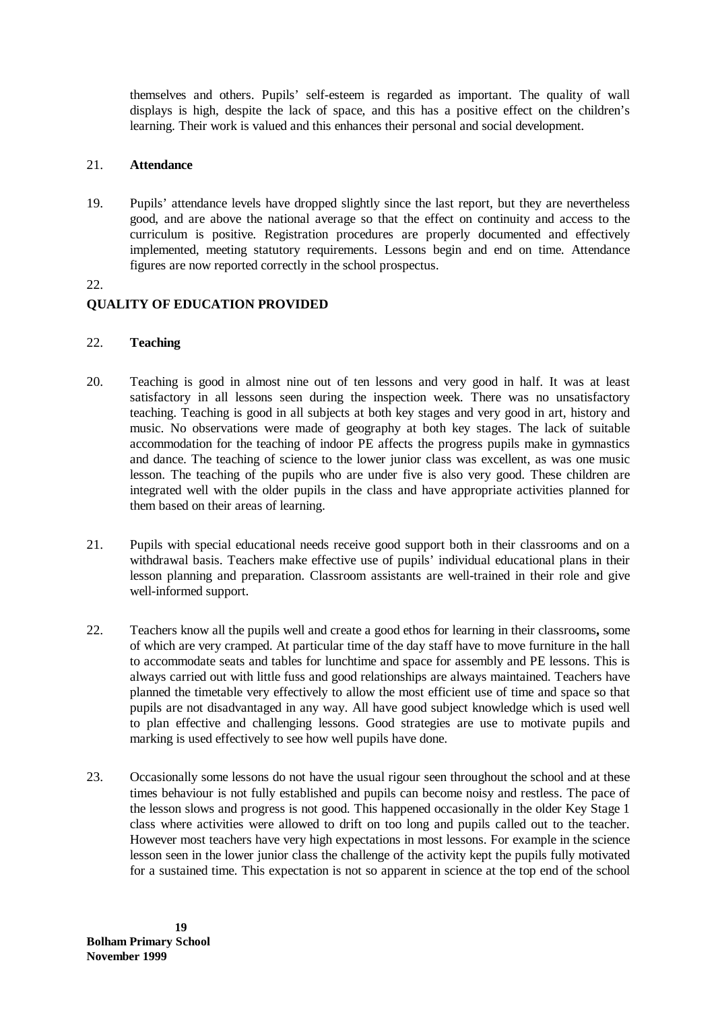themselves and others. Pupils' self-esteem is regarded as important. The quality of wall displays is high, despite the lack of space, and this has a positive effect on the children's learning. Their work is valued and this enhances their personal and social development.

#### 21. **Attendance**

19. Pupils' attendance levels have dropped slightly since the last report, but they are nevertheless good, and are above the national average so that the effect on continuity and access to the curriculum is positive. Registration procedures are properly documented and effectively implemented, meeting statutory requirements. Lessons begin and end on time. Attendance figures are now reported correctly in the school prospectus.

 $22.$ 

# **QUALITY OF EDUCATION PROVIDED**

#### 22. **Teaching**

- 20. Teaching is good in almost nine out of ten lessons and very good in half. It was at least satisfactory in all lessons seen during the inspection week. There was no unsatisfactory teaching. Teaching is good in all subjects at both key stages and very good in art, history and music. No observations were made of geography at both key stages. The lack of suitable accommodation for the teaching of indoor PE affects the progress pupils make in gymnastics and dance. The teaching of science to the lower junior class was excellent, as was one music lesson. The teaching of the pupils who are under five is also very good. These children are integrated well with the older pupils in the class and have appropriate activities planned for them based on their areas of learning.
- 21. Pupils with special educational needs receive good support both in their classrooms and on a withdrawal basis. Teachers make effective use of pupils' individual educational plans in their lesson planning and preparation. Classroom assistants are well-trained in their role and give well-informed support.
- 22. Teachers know all the pupils well and create a good ethos for learning in their classrooms**,** some of which are very cramped. At particular time of the day staff have to move furniture in the hall to accommodate seats and tables for lunchtime and space for assembly and PE lessons. This is always carried out with little fuss and good relationships are always maintained. Teachers have planned the timetable very effectively to allow the most efficient use of time and space so that pupils are not disadvantaged in any way. All have good subject knowledge which is used well to plan effective and challenging lessons. Good strategies are use to motivate pupils and marking is used effectively to see how well pupils have done.
- 23. Occasionally some lessons do not have the usual rigour seen throughout the school and at these times behaviour is not fully established and pupils can become noisy and restless. The pace of the lesson slows and progress is not good. This happened occasionally in the older Key Stage 1 class where activities were allowed to drift on too long and pupils called out to the teacher. However most teachers have very high expectations in most lessons. For example in the science lesson seen in the lower junior class the challenge of the activity kept the pupils fully motivated for a sustained time. This expectation is not so apparent in science at the top end of the school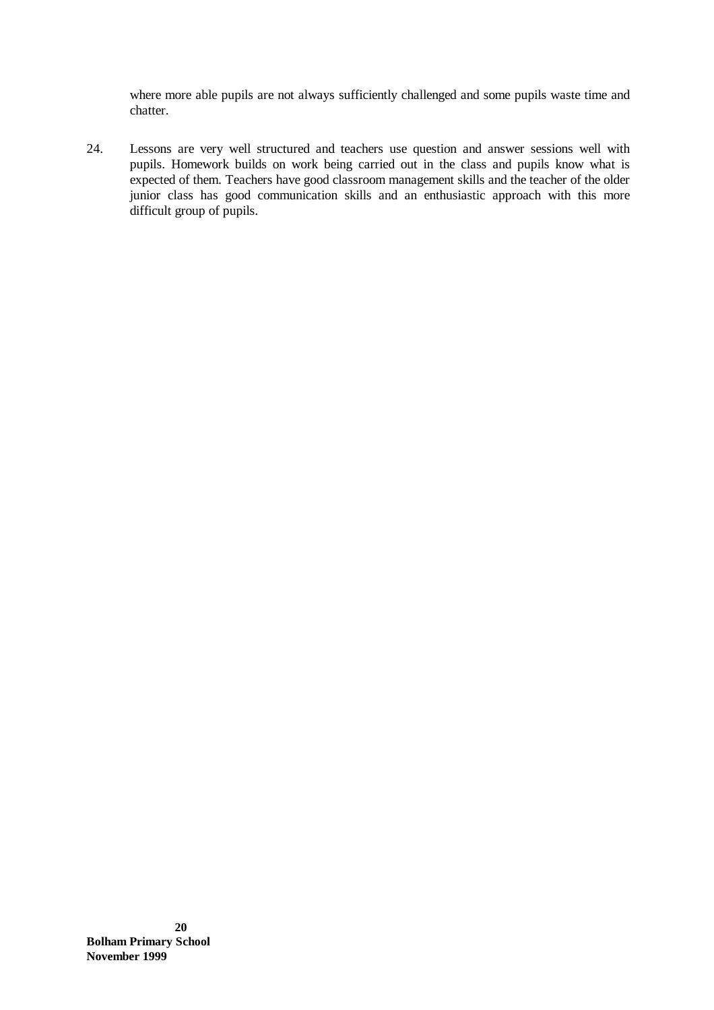where more able pupils are not always sufficiently challenged and some pupils waste time and chatter.

24. Lessons are very well structured and teachers use question and answer sessions well with pupils. Homework builds on work being carried out in the class and pupils know what is expected of them. Teachers have good classroom management skills and the teacher of the older junior class has good communication skills and an enthusiastic approach with this more difficult group of pupils.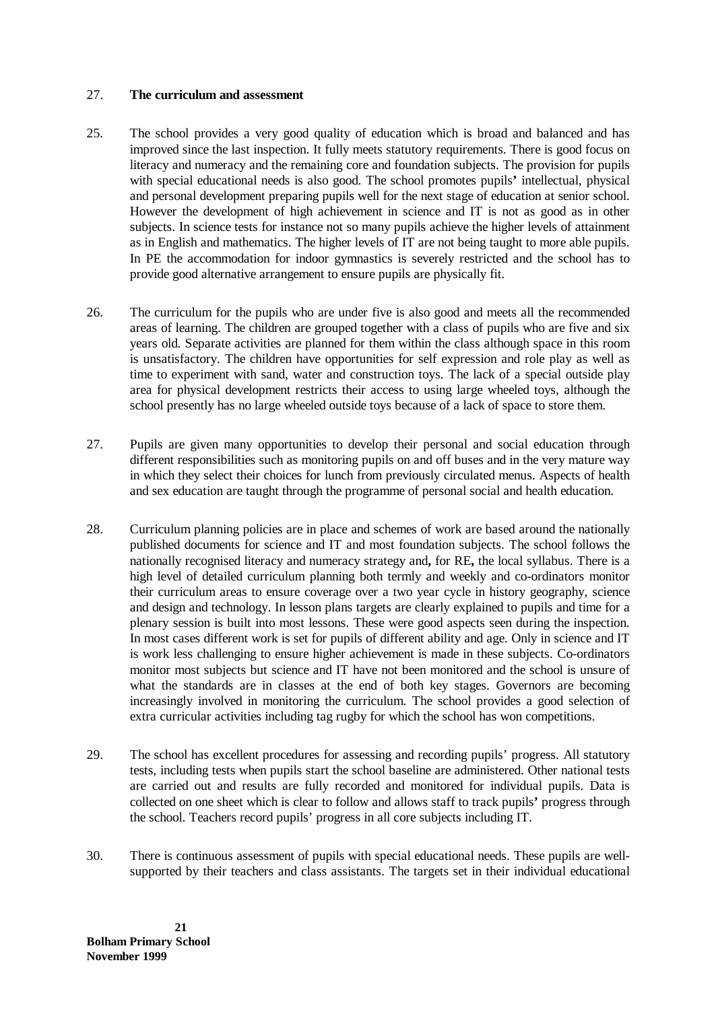#### 27. **The curriculum and assessment**

- 25. The school provides a very good quality of education which is broad and balanced and has improved since the last inspection. It fully meets statutory requirements. There is good focus on literacy and numeracy and the remaining core and foundation subjects. The provision for pupils with special educational needs is also good. The school promotes pupils' intellectual, physical and personal development preparing pupils well for the next stage of education at senior school. However the development of high achievement in science and IT is not as good as in other subjects. In science tests for instance not so many pupils achieve the higher levels of attainment as in English and mathematics. The higher levels of IT are not being taught to more able pupils. In PE the accommodation for indoor gymnastics is severely restricted and the school has to provide good alternative arrangement to ensure pupils are physically fit.
- 26. The curriculum for the pupils who are under five is also good and meets all the recommended areas of learning. The children are grouped together with a class of pupils who are five and six years old. Separate activities are planned for them within the class although space in this room is unsatisfactory. The children have opportunities for self expression and role play as well as time to experiment with sand, water and construction toys. The lack of a special outside play area for physical development restricts their access to using large wheeled toys, although the school presently has no large wheeled outside toys because of a lack of space to store them.
- 27. Pupils are given many opportunities to develop their personal and social education through different responsibilities such as monitoring pupils on and off buses and in the very mature way in which they select their choices for lunch from previously circulated menus. Aspects of health and sex education are taught through the programme of personal social and health education.
- 28. Curriculum planning policies are in place and schemes of work are based around the nationally published documents for science and IT and most foundation subjects. The school follows the nationally recognised literacy and numeracy strategy and**,** for RE**,** the local syllabus. There is a high level of detailed curriculum planning both termly and weekly and co-ordinators monitor their curriculum areas to ensure coverage over a two year cycle in history geography, science and design and technology. In lesson plans targets are clearly explained to pupils and time for a plenary session is built into most lessons. These were good aspects seen during the inspection. In most cases different work is set for pupils of different ability and age. Only in science and IT is work less challenging to ensure higher achievement is made in these subjects. Co-ordinators monitor most subjects but science and IT have not been monitored and the school is unsure of what the standards are in classes at the end of both key stages. Governors are becoming increasingly involved in monitoring the curriculum. The school provides a good selection of extra curricular activities including tag rugby for which the school has won competitions.
- 29. The school has excellent procedures for assessing and recording pupils' progress. All statutory tests, including tests when pupils start the school baseline are administered. Other national tests are carried out and results are fully recorded and monitored for individual pupils. Data is collected on one sheet which is clear to follow and allows staff to track pupils**'** progress through the school. Teachers record pupils' progress in all core subjects including IT.
- 30. There is continuous assessment of pupils with special educational needs. These pupils are wellsupported by their teachers and class assistants. The targets set in their individual educational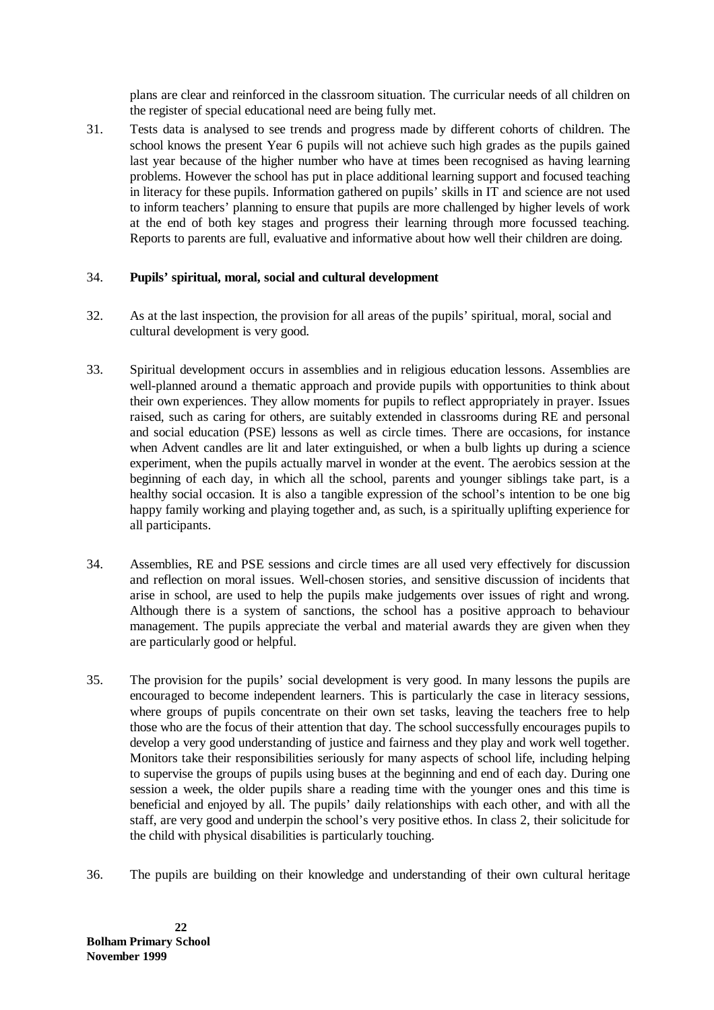plans are clear and reinforced in the classroom situation. The curricular needs of all children on the register of special educational need are being fully met.

31. Tests data is analysed to see trends and progress made by different cohorts of children. The school knows the present Year 6 pupils will not achieve such high grades as the pupils gained last year because of the higher number who have at times been recognised as having learning problems. However the school has put in place additional learning support and focused teaching in literacy for these pupils. Information gathered on pupils' skills in IT and science are not used to inform teachers' planning to ensure that pupils are more challenged by higher levels of work at the end of both key stages and progress their learning through more focussed teaching. Reports to parents are full, evaluative and informative about how well their children are doing.

#### 34. **Pupils' spiritual, moral, social and cultural development**

- 32. As at the last inspection, the provision for all areas of the pupils' spiritual, moral, social and cultural development is very good.
- 33. Spiritual development occurs in assemblies and in religious education lessons. Assemblies are well-planned around a thematic approach and provide pupils with opportunities to think about their own experiences. They allow moments for pupils to reflect appropriately in prayer. Issues raised, such as caring for others, are suitably extended in classrooms during RE and personal and social education (PSE) lessons as well as circle times. There are occasions, for instance when Advent candles are lit and later extinguished, or when a bulb lights up during a science experiment, when the pupils actually marvel in wonder at the event. The aerobics session at the beginning of each day, in which all the school, parents and younger siblings take part, is a healthy social occasion. It is also a tangible expression of the school's intention to be one big happy family working and playing together and, as such, is a spiritually uplifting experience for all participants.
- 34. Assemblies, RE and PSE sessions and circle times are all used very effectively for discussion and reflection on moral issues. Well-chosen stories, and sensitive discussion of incidents that arise in school, are used to help the pupils make judgements over issues of right and wrong. Although there is a system of sanctions, the school has a positive approach to behaviour management. The pupils appreciate the verbal and material awards they are given when they are particularly good or helpful.
- 35. The provision for the pupils' social development is very good. In many lessons the pupils are encouraged to become independent learners. This is particularly the case in literacy sessions, where groups of pupils concentrate on their own set tasks, leaving the teachers free to help those who are the focus of their attention that day. The school successfully encourages pupils to develop a very good understanding of justice and fairness and they play and work well together. Monitors take their responsibilities seriously for many aspects of school life, including helping to supervise the groups of pupils using buses at the beginning and end of each day. During one session a week, the older pupils share a reading time with the younger ones and this time is beneficial and enjoyed by all. The pupils' daily relationships with each other, and with all the staff, are very good and underpin the school's very positive ethos. In class 2, their solicitude for the child with physical disabilities is particularly touching.
- 36. The pupils are building on their knowledge and understanding of their own cultural heritage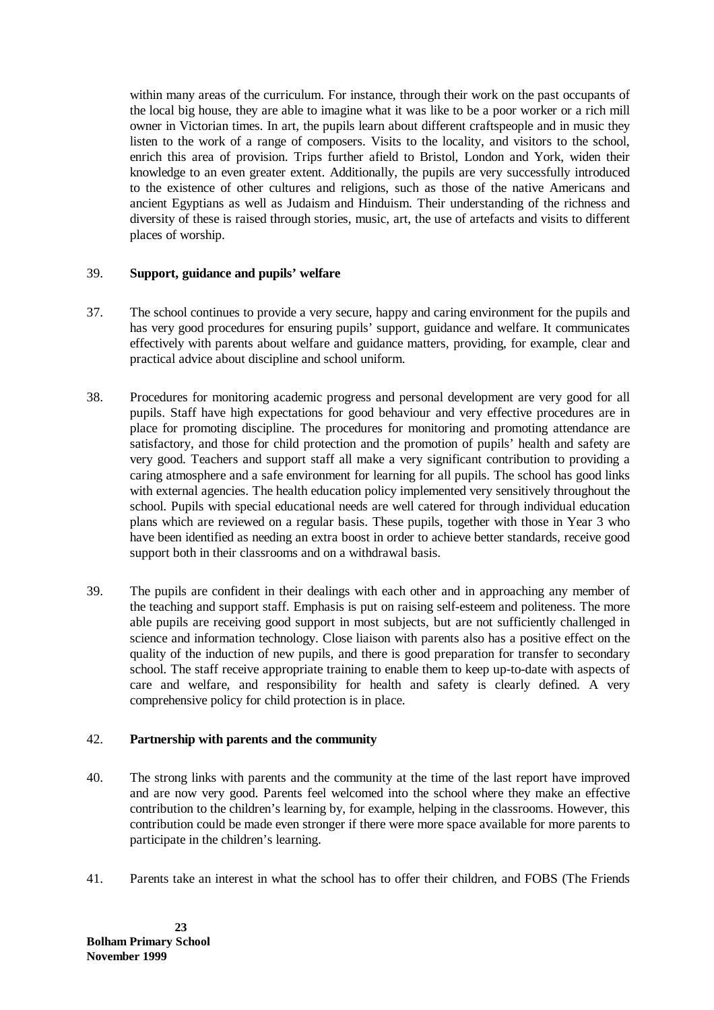within many areas of the curriculum. For instance, through their work on the past occupants of the local big house, they are able to imagine what it was like to be a poor worker or a rich mill owner in Victorian times. In art, the pupils learn about different craftspeople and in music they listen to the work of a range of composers. Visits to the locality, and visitors to the school, enrich this area of provision. Trips further afield to Bristol, London and York, widen their knowledge to an even greater extent. Additionally, the pupils are very successfully introduced to the existence of other cultures and religions, such as those of the native Americans and ancient Egyptians as well as Judaism and Hinduism. Their understanding of the richness and diversity of these is raised through stories, music, art, the use of artefacts and visits to different places of worship.

#### 39. **Support, guidance and pupils' welfare**

- 37. The school continues to provide a very secure, happy and caring environment for the pupils and has very good procedures for ensuring pupils' support, guidance and welfare. It communicates effectively with parents about welfare and guidance matters, providing, for example, clear and practical advice about discipline and school uniform.
- 38. Procedures for monitoring academic progress and personal development are very good for all pupils. Staff have high expectations for good behaviour and very effective procedures are in place for promoting discipline. The procedures for monitoring and promoting attendance are satisfactory, and those for child protection and the promotion of pupils' health and safety are very good. Teachers and support staff all make a very significant contribution to providing a caring atmosphere and a safe environment for learning for all pupils. The school has good links with external agencies. The health education policy implemented very sensitively throughout the school. Pupils with special educational needs are well catered for through individual education plans which are reviewed on a regular basis. These pupils, together with those in Year 3 who have been identified as needing an extra boost in order to achieve better standards, receive good support both in their classrooms and on a withdrawal basis.
- 39. The pupils are confident in their dealings with each other and in approaching any member of the teaching and support staff. Emphasis is put on raising self-esteem and politeness. The more able pupils are receiving good support in most subjects, but are not sufficiently challenged in science and information technology. Close liaison with parents also has a positive effect on the quality of the induction of new pupils, and there is good preparation for transfer to secondary school. The staff receive appropriate training to enable them to keep up-to-date with aspects of care and welfare, and responsibility for health and safety is clearly defined. A very comprehensive policy for child protection is in place.

#### 42. **Partnership with parents and the community**

- 40. The strong links with parents and the community at the time of the last report have improved and are now very good. Parents feel welcomed into the school where they make an effective contribution to the children's learning by, for example, helping in the classrooms. However, this contribution could be made even stronger if there were more space available for more parents to participate in the children's learning.
- 41. Parents take an interest in what the school has to offer their children, and FOBS (The Friends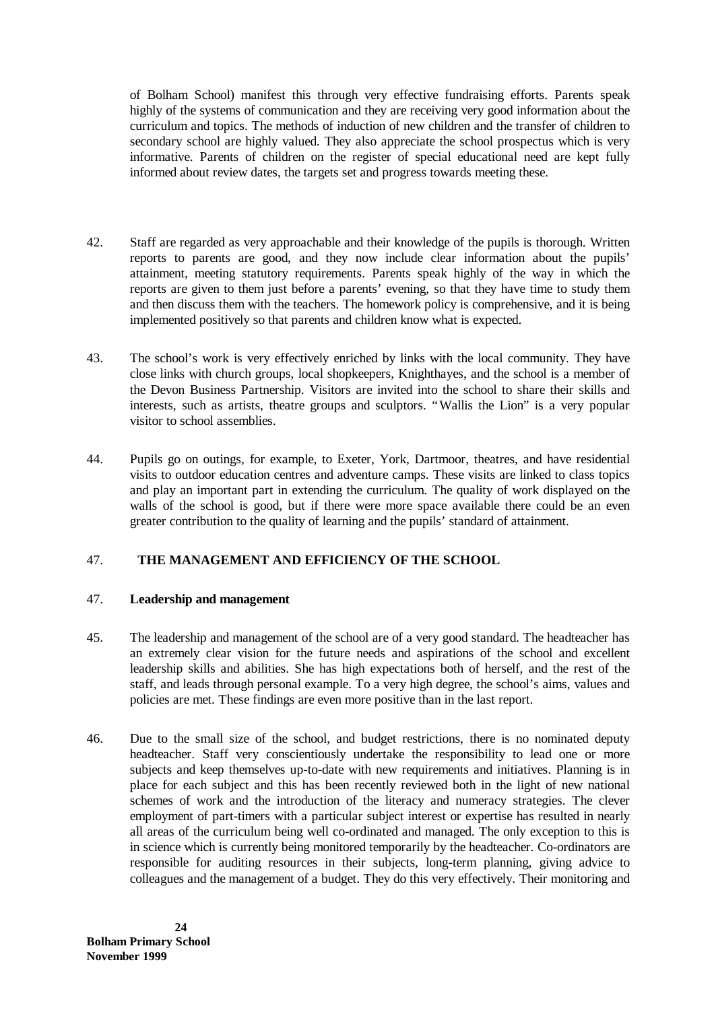of Bolham School) manifest this through very effective fundraising efforts. Parents speak highly of the systems of communication and they are receiving very good information about the curriculum and topics. The methods of induction of new children and the transfer of children to secondary school are highly valued. They also appreciate the school prospectus which is very informative. Parents of children on the register of special educational need are kept fully informed about review dates, the targets set and progress towards meeting these.

- 42. Staff are regarded as very approachable and their knowledge of the pupils is thorough. Written reports to parents are good, and they now include clear information about the pupils' attainment, meeting statutory requirements. Parents speak highly of the way in which the reports are given to them just before a parents' evening, so that they have time to study them and then discuss them with the teachers. The homework policy is comprehensive, and it is being implemented positively so that parents and children know what is expected.
- 43. The school's work is very effectively enriched by links with the local community. They have close links with church groups, local shopkeepers, Knighthayes, and the school is a member of the Devon Business Partnership. Visitors are invited into the school to share their skills and interests, such as artists, theatre groups and sculptors. "Wallis the Lion" is a very popular visitor to school assemblies.
- 44. Pupils go on outings, for example, to Exeter, York, Dartmoor, theatres, and have residential visits to outdoor education centres and adventure camps. These visits are linked to class topics and play an important part in extending the curriculum. The quality of work displayed on the walls of the school is good, but if there were more space available there could be an even greater contribution to the quality of learning and the pupils' standard of attainment.

#### 47. **THE MANAGEMENT AND EFFICIENCY OF THE SCHOOL**

## 47. **Leadership and management**

- 45. The leadership and management of the school are of a very good standard. The headteacher has an extremely clear vision for the future needs and aspirations of the school and excellent leadership skills and abilities. She has high expectations both of herself, and the rest of the staff, and leads through personal example. To a very high degree, the school's aims, values and policies are met. These findings are even more positive than in the last report.
- 46. Due to the small size of the school, and budget restrictions, there is no nominated deputy headteacher. Staff very conscientiously undertake the responsibility to lead one or more subjects and keep themselves up-to-date with new requirements and initiatives. Planning is in place for each subject and this has been recently reviewed both in the light of new national schemes of work and the introduction of the literacy and numeracy strategies. The clever employment of part-timers with a particular subject interest or expertise has resulted in nearly all areas of the curriculum being well co-ordinated and managed. The only exception to this is in science which is currently being monitored temporarily by the headteacher. Co-ordinators are responsible for auditing resources in their subjects, long-term planning, giving advice to colleagues and the management of a budget. They do this very effectively. Their monitoring and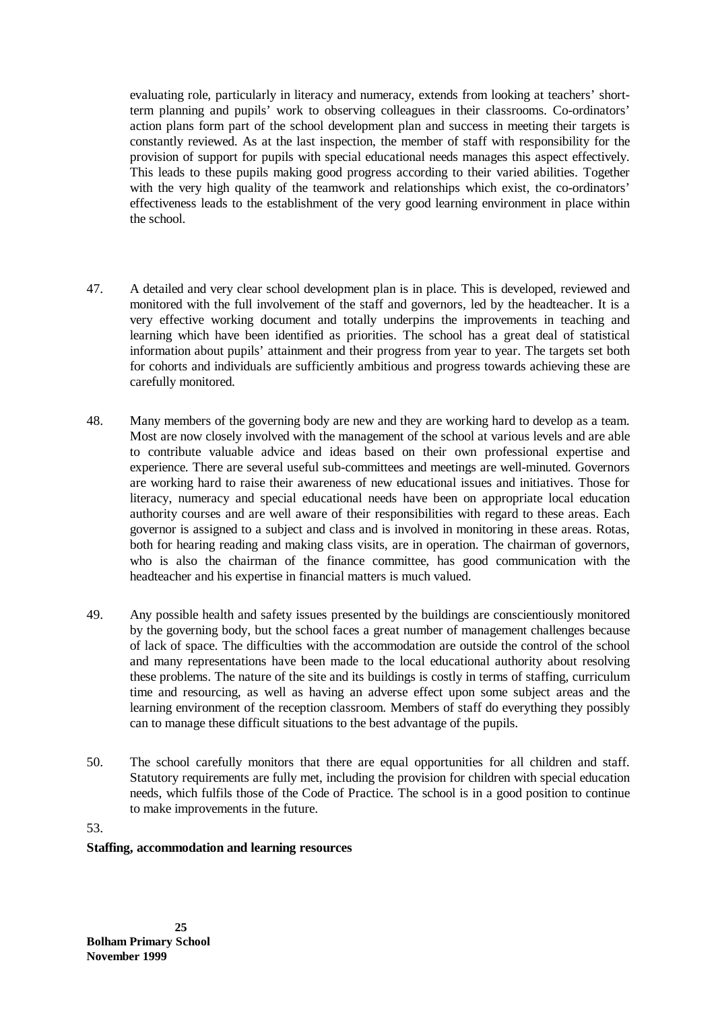evaluating role, particularly in literacy and numeracy, extends from looking at teachers' shortterm planning and pupils' work to observing colleagues in their classrooms. Co-ordinators' action plans form part of the school development plan and success in meeting their targets is constantly reviewed. As at the last inspection, the member of staff with responsibility for the provision of support for pupils with special educational needs manages this aspect effectively. This leads to these pupils making good progress according to their varied abilities. Together with the very high quality of the teamwork and relationships which exist, the co-ordinators' effectiveness leads to the establishment of the very good learning environment in place within the school.

- 47. A detailed and very clear school development plan is in place. This is developed, reviewed and monitored with the full involvement of the staff and governors, led by the headteacher. It is a very effective working document and totally underpins the improvements in teaching and learning which have been identified as priorities. The school has a great deal of statistical information about pupils' attainment and their progress from year to year. The targets set both for cohorts and individuals are sufficiently ambitious and progress towards achieving these are carefully monitored.
- 48. Many members of the governing body are new and they are working hard to develop as a team. Most are now closely involved with the management of the school at various levels and are able to contribute valuable advice and ideas based on their own professional expertise and experience. There are several useful sub-committees and meetings are well-minuted. Governors are working hard to raise their awareness of new educational issues and initiatives. Those for literacy, numeracy and special educational needs have been on appropriate local education authority courses and are well aware of their responsibilities with regard to these areas. Each governor is assigned to a subject and class and is involved in monitoring in these areas. Rotas, both for hearing reading and making class visits, are in operation. The chairman of governors, who is also the chairman of the finance committee, has good communication with the headteacher and his expertise in financial matters is much valued.
- 49. Any possible health and safety issues presented by the buildings are conscientiously monitored by the governing body, but the school faces a great number of management challenges because of lack of space. The difficulties with the accommodation are outside the control of the school and many representations have been made to the local educational authority about resolving these problems. The nature of the site and its buildings is costly in terms of staffing, curriculum time and resourcing, as well as having an adverse effect upon some subject areas and the learning environment of the reception classroom. Members of staff do everything they possibly can to manage these difficult situations to the best advantage of the pupils.
- 50. The school carefully monitors that there are equal opportunities for all children and staff. Statutory requirements are fully met, including the provision for children with special education needs, which fulfils those of the Code of Practice. The school is in a good position to continue to make improvements in the future.
- 53.

#### **Staffing, accommodation and learning resources**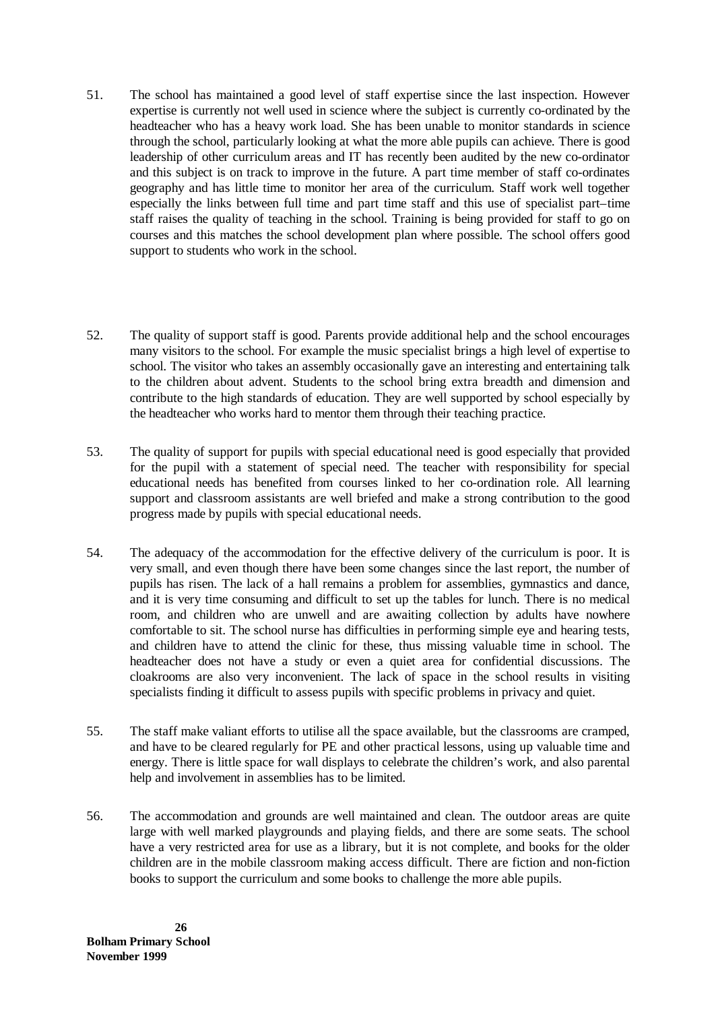- 51. The school has maintained a good level of staff expertise since the last inspection. However expertise is currently not well used in science where the subject is currently co-ordinated by the headteacher who has a heavy work load. She has been unable to monitor standards in science through the school, particularly looking at what the more able pupils can achieve. There is good leadership of other curriculum areas and IT has recently been audited by the new co-ordinator and this subject is on track to improve in the future. A part time member of staff co-ordinates geography and has little time to monitor her area of the curriculum. Staff work well together especially the links between full time and part time staff and this use of specialist part–time staff raises the quality of teaching in the school. Training is being provided for staff to go on courses and this matches the school development plan where possible. The school offers good support to students who work in the school.
- 52. The quality of support staff is good. Parents provide additional help and the school encourages many visitors to the school. For example the music specialist brings a high level of expertise to school. The visitor who takes an assembly occasionally gave an interesting and entertaining talk to the children about advent. Students to the school bring extra breadth and dimension and contribute to the high standards of education. They are well supported by school especially by the headteacher who works hard to mentor them through their teaching practice.
- 53. The quality of support for pupils with special educational need is good especially that provided for the pupil with a statement of special need. The teacher with responsibility for special educational needs has benefited from courses linked to her co-ordination role. All learning support and classroom assistants are well briefed and make a strong contribution to the good progress made by pupils with special educational needs.
- 54. The adequacy of the accommodation for the effective delivery of the curriculum is poor. It is very small, and even though there have been some changes since the last report, the number of pupils has risen. The lack of a hall remains a problem for assemblies, gymnastics and dance, and it is very time consuming and difficult to set up the tables for lunch. There is no medical room, and children who are unwell and are awaiting collection by adults have nowhere comfortable to sit. The school nurse has difficulties in performing simple eye and hearing tests, and children have to attend the clinic for these, thus missing valuable time in school. The headteacher does not have a study or even a quiet area for confidential discussions. The cloakrooms are also very inconvenient. The lack of space in the school results in visiting specialists finding it difficult to assess pupils with specific problems in privacy and quiet.
- 55. The staff make valiant efforts to utilise all the space available, but the classrooms are cramped, and have to be cleared regularly for PE and other practical lessons, using up valuable time and energy. There is little space for wall displays to celebrate the children's work, and also parental help and involvement in assemblies has to be limited.
- 56. The accommodation and grounds are well maintained and clean. The outdoor areas are quite large with well marked playgrounds and playing fields, and there are some seats. The school have a very restricted area for use as a library, but it is not complete, and books for the older children are in the mobile classroom making access difficult. There are fiction and non-fiction books to support the curriculum and some books to challenge the more able pupils.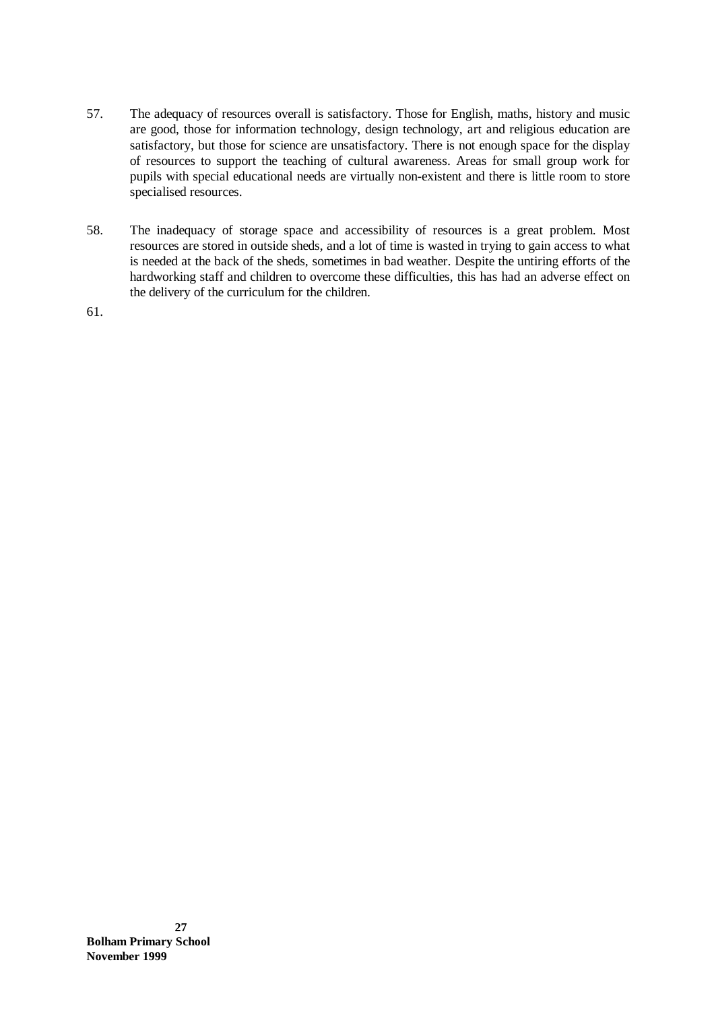- 57. The adequacy of resources overall is satisfactory. Those for English, maths, history and music are good, those for information technology, design technology, art and religious education are satisfactory, but those for science are unsatisfactory. There is not enough space for the display of resources to support the teaching of cultural awareness. Areas for small group work for pupils with special educational needs are virtually non-existent and there is little room to store specialised resources.
- 58. The inadequacy of storage space and accessibility of resources is a great problem. Most resources are stored in outside sheds, and a lot of time is wasted in trying to gain access to what is needed at the back of the sheds, sometimes in bad weather. Despite the untiring efforts of the hardworking staff and children to overcome these difficulties, this has had an adverse effect on the delivery of the curriculum for the children.

61.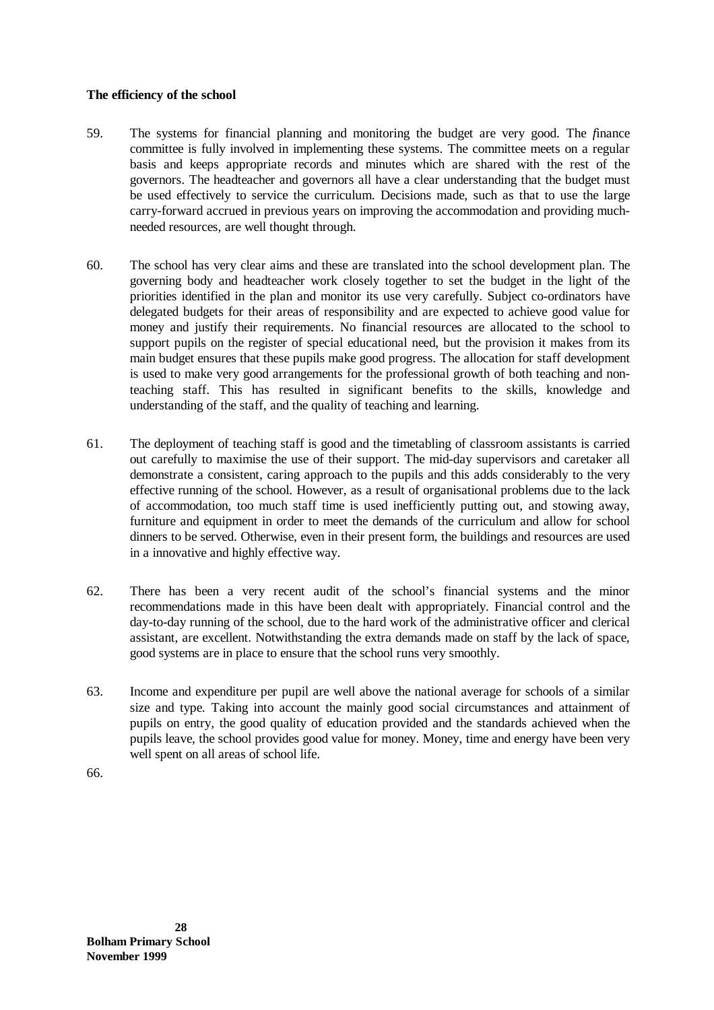#### **The efficiency of the school**

- 59. The systems for financial planning and monitoring the budget are very good. The *f*inance committee is fully involved in implementing these systems. The committee meets on a regular basis and keeps appropriate records and minutes which are shared with the rest of the governors. The headteacher and governors all have a clear understanding that the budget must be used effectively to service the curriculum. Decisions made, such as that to use the large carry-forward accrued in previous years on improving the accommodation and providing muchneeded resources, are well thought through.
- 60. The school has very clear aims and these are translated into the school development plan. The governing body and headteacher work closely together to set the budget in the light of the priorities identified in the plan and monitor its use very carefully. Subject co-ordinators have delegated budgets for their areas of responsibility and are expected to achieve good value for money and justify their requirements. No financial resources are allocated to the school to support pupils on the register of special educational need, but the provision it makes from its main budget ensures that these pupils make good progress. The allocation for staff development is used to make very good arrangements for the professional growth of both teaching and nonteaching staff. This has resulted in significant benefits to the skills, knowledge and understanding of the staff, and the quality of teaching and learning.
- 61. The deployment of teaching staff is good and the timetabling of classroom assistants is carried out carefully to maximise the use of their support. The mid-day supervisors and caretaker all demonstrate a consistent, caring approach to the pupils and this adds considerably to the very effective running of the school. However, as a result of organisational problems due to the lack of accommodation, too much staff time is used inefficiently putting out, and stowing away, furniture and equipment in order to meet the demands of the curriculum and allow for school dinners to be served. Otherwise, even in their present form, the buildings and resources are used in a innovative and highly effective way.
- 62. There has been a very recent audit of the school's financial systems and the minor recommendations made in this have been dealt with appropriately. Financial control and the day-to-day running of the school, due to the hard work of the administrative officer and clerical assistant, are excellent. Notwithstanding the extra demands made on staff by the lack of space, good systems are in place to ensure that the school runs very smoothly.
- 63. Income and expenditure per pupil are well above the national average for schools of a similar size and type. Taking into account the mainly good social circumstances and attainment of pupils on entry, the good quality of education provided and the standards achieved when the pupils leave, the school provides good value for money. Money, time and energy have been very well spent on all areas of school life.

66.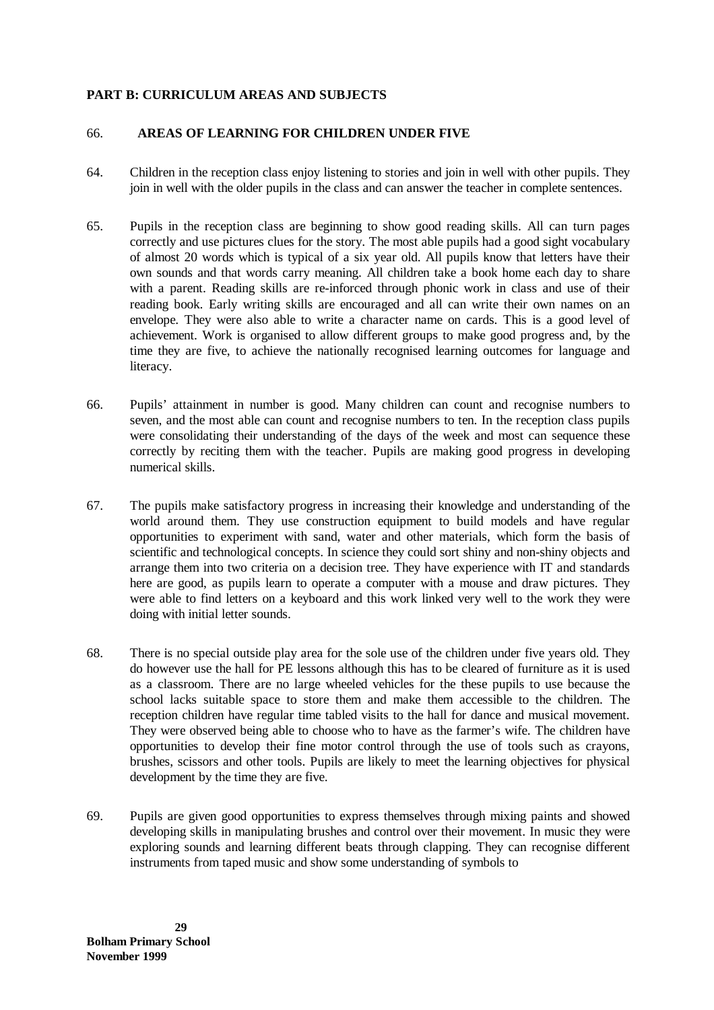### **PART B: CURRICULUM AREAS AND SUBJECTS**

#### 66. **AREAS OF LEARNING FOR CHILDREN UNDER FIVE**

- 64. Children in the reception class enjoy listening to stories and join in well with other pupils. They join in well with the older pupils in the class and can answer the teacher in complete sentences.
- 65. Pupils in the reception class are beginning to show good reading skills. All can turn pages correctly and use pictures clues for the story. The most able pupils had a good sight vocabulary of almost 20 word*s* which is typical of a six year old. All pupils know that letters have their own sounds and that words carry meaning. All children take a book home each day to share with a parent. Reading skills are re-inforced through phonic work in class and use of their reading book. Early writing skills are encouraged and all can write their own names on an envelope. They were also able to write a character name on cards. This is a good level of achievement. Work is organised to allow different groups to make good progress and, by the time they are five, to achieve the nationally recognised learning outcomes for language and literacy.
- 66. Pupils' attainment in number is good. Many children can count and recognise numbers to seven, and the most able can count and recognise numbers to ten. In the reception class pupils were consolidating their understanding of the days of the week and most can sequence these correctly by reciting them with the teacher. Pupils are making good progress in developing numerical skills.
- 67. The pupils make satisfactory progress in increasing their knowledge and understanding of the world around them. They use construction equipment to build models and have regular opportunities to experiment with sand, water and other materials, which form the basis of scientific and technological concepts. In science they could sort shiny and non-shiny objects and arrange them into two criteria on a decision tree. They have experience with IT and standards here are good, as pupils learn to operate a computer with a mouse and draw pictures. They were able to find letters on a keyboard and this work linked very well to the work they were doing with initial letter sounds.
- 68. There is no special outside play area for the sole use of the children under five years old. They do however use the hall for PE lessons although this has to be cleared of furniture as it is used as a classroom. There are no large wheeled vehicles for the these pupils to use because the school lacks suitable space to store them and make them accessible to the children. The reception children have regular time tabled visits to the hall for dance and musical movement. They were observed being able to choose who to have as the farmer's wife. The children have opportunities to develop their fine motor control through the use of tools such as crayons, brushes, scissors and other tools. Pupils are likely to meet the learning objectives for physical development by the time they are five.
- 69. Pupils are given good opportunities to express themselves through mixing paints and showed developing skills in manipulating brushes and control over their movement. In music they were exploring sounds and learning different beats through clapping. They can recognise different instruments from taped music and show some understanding of symbols to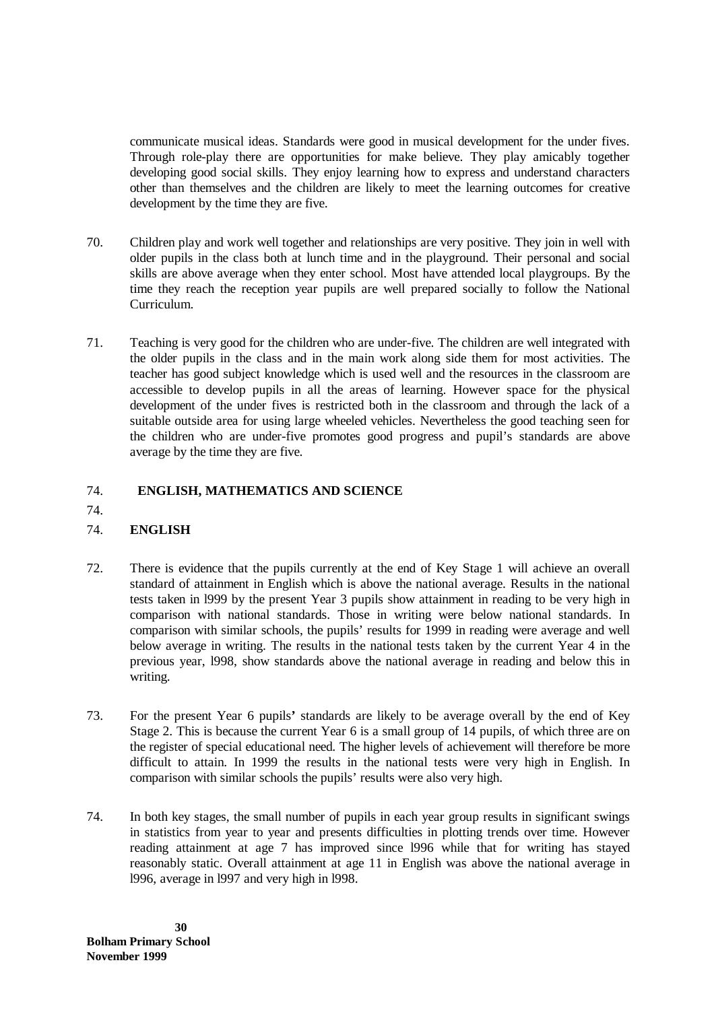communicate musical ideas. Standards were good in musical development for the under fives. Through role-play there are opportunities for make believe. They play amicably together developing good social skills. They enjoy learning how to express and understand characters other than themselves and the children are likely to meet the learning outcomes for creative development by the time they are five.

- 70. Children play and work well together and relationships are very positive. They join in well with older pupils in the class both at lunch time and in the playground. Their personal and social skills are above average when they enter school. Most have attended local playgroups. By the time they reach the reception year pupils are well prepared socially to follow the National Curriculum.
- 71. Teaching is very good for the children who are under-five. The children are well integrated with the older pupils in the class and in the main work along side them for most activities. The teacher has good subject knowledge which is used well and the resources in the classroom are accessible to develop pupils in all the areas of learning. However space for the physical development of the under fives is restricted both in the classroom and through the lack of a suitable outside area for using large wheeled vehicles. Nevertheless the good teaching seen for the children who are under-five promotes good progress and pupil's standards are above average by the time they are five.

#### 74. **ENGLISH, MATHEMATICS AND SCIENCE**

74.

# 74. **ENGLISH**

- 72. There is evidence that the pupils currently at the end of Key Stage 1 will achieve an overall standard of attainment in English which is above the national average. Results in the national tests taken in l999 by the present Year 3 pupils show attainment in reading to be very high in comparison with national standards. Those in writing were below national standards. In comparison with similar schools, the pupils' results for 1999 in reading were average and well below average in writing. The results in the national tests taken by the current Year 4 in the previous year, l998, show standards above the national average in reading and below this in writing.
- 73. For the present Year 6 pupils**'** standards are likely to be average overall by the end of Key Stage 2. This is because the current Year 6 is a small group of 14 pupils, of which three are on the register of special educational need. The higher levels of achievement will therefore be more difficult to attain. In 1999 the results in the national tests were very high in English. In comparison with similar schools the pupils' results were also very high.
- 74. In both key stages, the small number of pupils in each year group results in significant swings in statistics from year to year and presents difficulties in plotting trends over time. However reading attainment at age 7 has improved since l996 while that for writing has stayed reasonably static. Overall attainment at age 11 in English was above the national average in l996, average in l997 and very high in l998.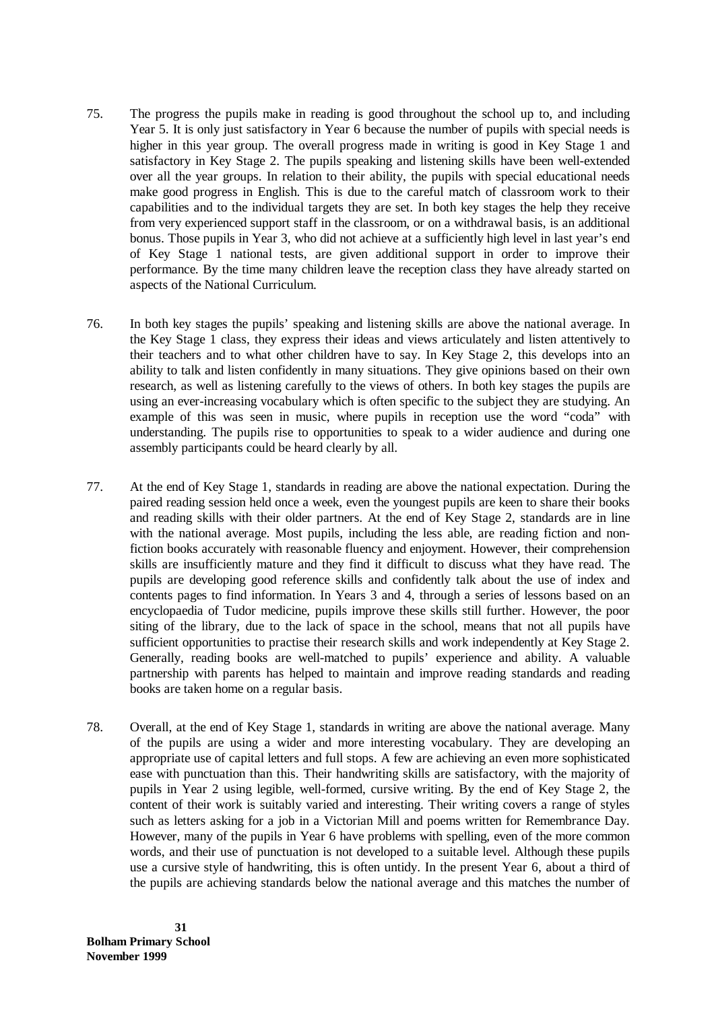- 75. The progress the pupils make in reading is good throughout the school up to, and including Year 5. It is only just satisfactory in Year 6 because the number of pupils with special needs is higher in this year group. The overall progress made in writing is good in Key Stage 1 and satisfactory in Key Stage 2. The pupils speaking and listening skills have been well-extended over all the year groups. In relation to their ability, the pupils with special educational needs make good progress in English. This is due to the careful match of classroom work to their capabilities and to the individual targets they are set. In both key stages the help they receive from very experienced support staff in the classroom, or on a withdrawal basis, is an additional bonus. Those pupils in Year 3, who did not achieve at a sufficiently high level in last year's end of Key Stage 1 national tests, are given additional support in order to improve their performance. By the time many children leave the reception class they have already started on aspects of the National Curriculum.
- 76. In both key stages the pupils' speaking and listening skills are above the national average. In the Key Stage 1 class, they express their ideas and views articulately and listen attentively to their teachers and to what other children have to say. In Key Stage 2, this develops into an ability to talk and listen confidently in many situations. They give opinions based on their own research, as well as listening carefully to the views of others. In both key stages the pupils are using an ever-increasing vocabulary which is often specific to the subject they are studying. An example of this was seen in music, where pupils in reception use the word "coda" with understanding. The pupils rise to opportunities to speak to a wider audience and during one assembly participants could be heard clearly by all.
- 77. At the end of Key Stage 1, standards in reading are above the national expectation. During the paired reading session held once a week, even the youngest pupils are keen to share their books and reading skills with their older partners. At the end of Key Stage 2, standards are in line with the national average. Most pupils, including the less able, are reading fiction and nonfiction books accurately with reasonable fluency and enjoyment. However, their comprehension skills are insufficiently mature and they find it difficult to discuss what they have read. The pupils are developing good reference skills and confidently talk about the use of index and contents pages to find information. In Years 3 and 4, through a series of lessons based on an encyclopaedia of Tudor medicine, pupils improve these skills still further. However, the poor siting of the library, due to the lack of space in the school, means that not all pupils have sufficient opportunities to practise their research skills and work independently at Key Stage 2. Generally, reading books are well-matched to pupils' experience and ability. A valuable partnership with parents has helped to maintain and improve reading standards and reading books are taken home on a regular basis.
- 78. Overall, at the end of Key Stage 1, standards in writing are above the national average. Many of the pupils are using a wider and more interesting vocabulary. They are developing an appropriate use of capital letters and full stops. A few are achieving an even more sophisticated ease with punctuation than this. Their handwriting skills are satisfactory, with the majority of pupils in Year 2 using legible, well-formed, cursive writing. By the end of Key Stage 2, the content of their work is suitably varied and interesting. Their writing covers a range of styles such as letters asking for a job in a Victorian Mill and poems written for Remembrance Day. However, many of the pupils in Year 6 have problems with spelling, even of the more common words, and their use of punctuation is not developed to a suitable level. Although these pupils use a cursive style of handwriting, this is often untidy. In the present Year 6, about a third of the pupils are achieving standards below the national average and this matches the number of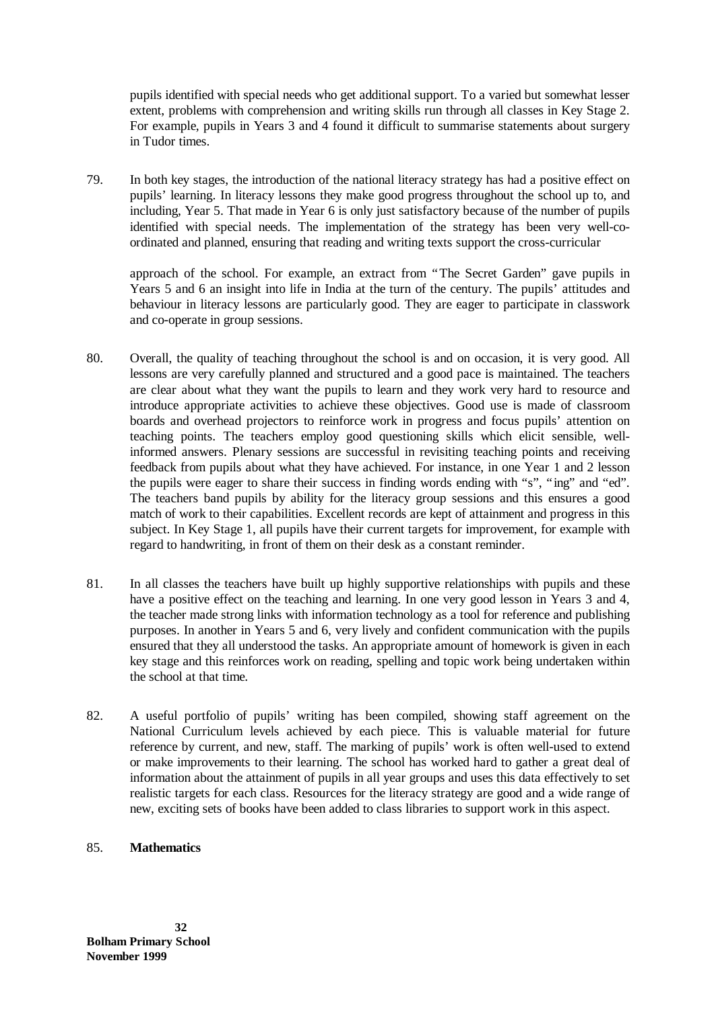pupils identified with special needs who get additional support. To a varied but somewhat lesser extent, problems with comprehension and writing skills run through all classes in Key Stage 2. For example, pupils in Years 3 and 4 found it difficult to summarise statements about surgery in Tudor times.

79. In both key stages, the introduction of the national literacy strategy has had a positive effect on pupils' learning. In literacy lessons they make good progress throughout the school up to, and including, Year 5. That made in Year 6 is only just satisfactory because of the number of pupils identified with special needs. The implementation of the strategy has been very well-coordinated and planned, ensuring that reading and writing texts support the cross-curricular

approach of the school. For example, an extract from "The Secret Garden" gave pupils in Years 5 and 6 an insight into life in India at the turn of the century. The pupils' attitudes and behaviour in literacy lessons are particularly good. They are eager to participate in classwork and co-operate in group sessions.

- 80. Overall, the quality of teaching throughout the school is and on occasion, it is very good. All lessons are very carefully planned and structured and a good pace is maintained. The teachers are clear about what they want the pupils to learn and they work very hard to resource and introduce appropriate activities to achieve these objectives. Good use is made of classroom boards and overhead projectors to reinforce work in progress and focus pupils' attention on teaching points. The teachers employ good questioning skills which elicit sensible, wellinformed answers. Plenary sessions are successful in revisiting teaching points and receiving feedback from pupils about what they have achieved. For instance, in one Year 1 and 2 lesson the pupils were eager to share their success in finding words ending with "s", "ing" and "ed". The teachers band pupils by ability for the literacy group sessions and this ensures a good match of work to their capabilities. Excellent records are kept of attainment and progress in this subject. In Key Stage 1, all pupils have their current targets for improvement, for example with regard to handwriting, in front of them on their desk as a constant reminder.
- 81. In all classes the teachers have built up highly supportive relationships with pupils and these have a positive effect on the teaching and learning. In one very good lesson in Years 3 and 4, the teacher made strong links with information technology as a tool for reference and publishing purposes. In another in Years 5 and 6, very lively and confident communication with the pupils ensured that they all understood the tasks. An appropriate amount of homework is given in each key stage and this reinforces work on reading, spelling and topic work being undertaken within the school at that time.
- 82. A useful portfolio of pupils' writing has been compiled, showing staff agreement on the National Curriculum levels achieved by each piece. This is valuable material for future reference by current, and new, staff. The marking of pupils' work is often well-used to extend or make improvements to their learning. The school has worked hard to gather a great deal of information about the attainment of pupils in all year groups and uses this data effectively to set realistic targets for each class. Resources for the literacy strategy are good and a wide range of new, exciting sets of books have been added to class libraries to support work in this aspect.

#### 85. **Mathematics**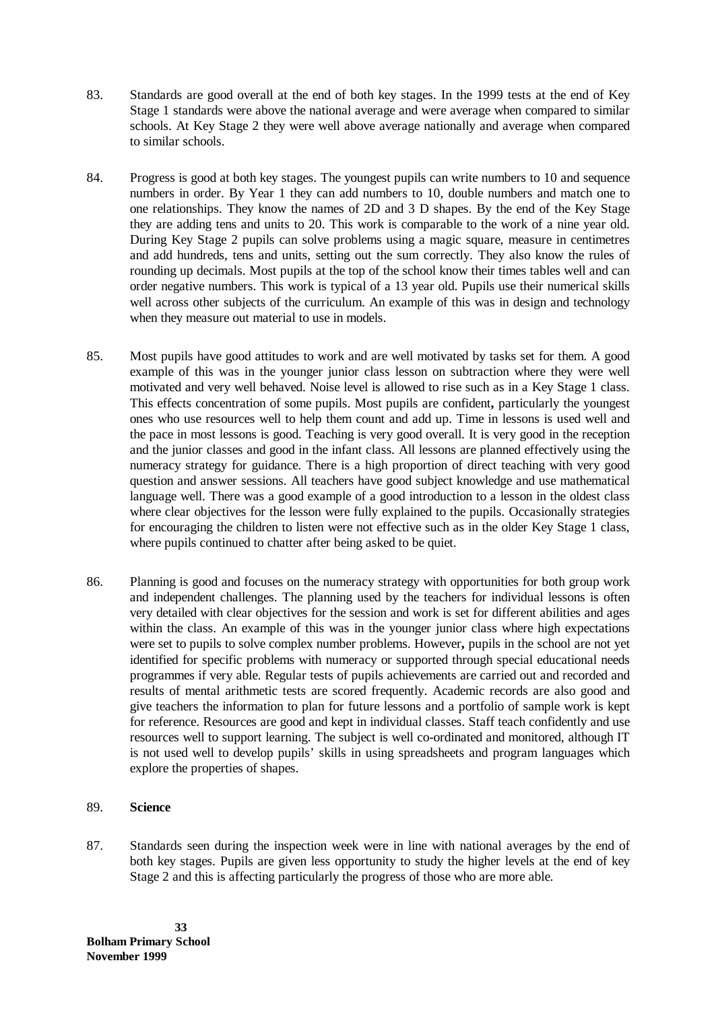- 83. Standards are good overall at the end of both key stages. In the 1999 tests at the end of Key Stage 1 standards were above the national average and were average when compared to similar schools. At Key Stage 2 they were well above average nationally and average when compared to similar schools.
- 84. Progress is good at both key stages. The youngest pupils can write numbers to 10 and sequence numbers in order. By Year 1 they can add numbers to 10, double numbers and match one to one relationships. They know the names of 2D and 3 D shapes. By the end of the Key Stage they are adding tens and units to 20. This work is comparable to the work of a nine year old. During Key Stage 2 pupils can solve problems using a magic square, measure in centimetres and add hundreds, tens and units, setting out the sum correctly. They also know the rules of rounding up decimals. Most pupils at the top of the school know their times tables well and can order negative numbers. This work is typical of a 13 year old. Pupils use their numerical skills well across other subjects of the curriculum. An example of this was in design and technology when they measure out material to use in models.
- 85. Most pupils have good attitudes to work and are well motivated by tasks set for them. A good example of this was in the younger junior class lesson on subtraction where they were well motivated and very well behaved. Noise level is allowed to rise such as in a Key Stage 1 class. This effects concentration of some pupils. Most pupils are confident**,** particularly the youngest ones who use resources well to help them count and add up. Time in lessons is used well and the pace in most lessons is good. Teaching is very good overall. It is very good in the reception and the junior classes and good in the infant class. All lessons are planned effectively using the numeracy strategy for guidance. There is a high proportion of direct teaching with very good question and answer sessions. All teachers have good subject knowledge and use mathematical language well. There was a good example of a good introduction to a lesson in the oldest class where clear objectives for the lesson were fully explained to the pupils. Occasionally strategies for encouraging the children to listen were not effective such as in the older Key Stage 1 class, where pupils continued to chatter after being asked to be quiet.
- 86. Planning is good and focuses on the numeracy strategy with opportunities for both group work and independent challenges. The planning used by the teachers for individual lessons is often very detailed with clear objectives for the session and work is set for different abilities and ages within the class. An example of this was in the younger junior class where high expectations were set to pupils to solve complex number problems. However**,** pupils in the school are not yet identified for specific problems with numeracy or supported through special educational needs programmes if very able. Regular tests of pupils achievements are carried out and recorded and results of mental arithmetic tests are scored frequently. Academic records are also good and give teachers the information to plan for future lessons and a portfolio of sample work is kept for reference. Resources are good and kept in individual classes. Staff teach confidently and use resources well to support learning. The subject is well co-ordinated and monitored, although IT is not used well to develop pupils' skills in using spreadsheets and program languages which explore the properties of shapes.

#### 89. **Science**

87. Standards seen during the inspection week were in line with national averages by the end of both key stages. Pupils are given less opportunity to study the higher levels at the end of key Stage 2 and this is affecting particularly the progress of those who are more able.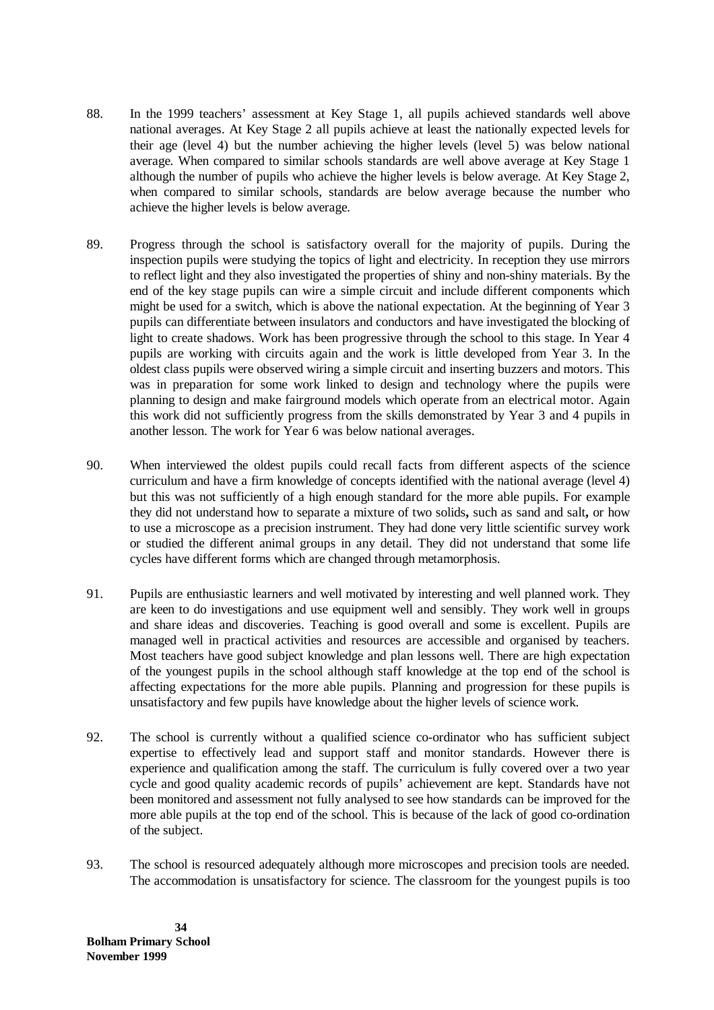- 88. In the 1999 teachers' assessment at Key Stage 1, all pupils achieved standards well above national averages. At Key Stage 2 all pupils achieve at least the nationally expected levels for their age (level 4) but the number achieving the higher levels (level 5) was below national average. When compared to similar schools standards are well above average at Key Stage 1 although the number of pupils who achieve the higher levels is below average. At Key Stage 2, when compared to similar schools, standards are below average because the number who achieve the higher levels is below average.
- 89. Progress through the school is satisfactory overall for the majority of pupils. During the inspection pupils were studying the topics of light and electricity. In reception they use mirrors to reflect light and they also investigated the properties of shiny and non-shiny materials. By the end of the key stage pupils can wire a simple circuit and include different components which might be used for a switch, which is above the national expectation. At the beginning of Year 3 pupils can differentiate between insulators and conductors and have investigated the blocking of light to create shadows. Work has been progressive through the school to this stage. In Year 4 pupils are working with circuits again and the work is little developed from Year 3. In the oldest class pupils were observed wiring a simple circuit and inserting buzzers and motors. This was in preparation for some work linked to design and technology where the pupils were planning to design and make fairground models which operate from an electrical motor. Again this work did not sufficiently progress from the skills demonstrated by Year 3 and 4 pupils in another lesson. The work for Year 6 was below national averages.
- 90. When interviewed the oldest pupils could recall facts from different aspects of the science curriculum and have a firm knowledge of concepts identified with the national average (level 4) but this was not sufficiently of a high enough standard for the more able pupils. For example they did not understand how to separate a mixture of two solids**,** such as sand and salt**,** or how to use a microscope as a precision instrument. They had done very little scientific survey work or studied the different animal groups in any detail. They did not understand that some life cycles have different forms which are changed through metamorphosis.
- 91. Pupils are enthusiastic learners and well motivated by interesting and well planned work. They are keen to do investigations and use equipment well and sensibly. They work well in groups and share ideas and discoveries. Teaching is good overall and some is excellent. Pupils are managed well in practical activities and resources are accessible and organised by teachers. Most teachers have good subject knowledge and plan lessons well. There are high expectation of the youngest pupils in the school although staff knowledge at the top end of the school is affecting expectations for the more able pupils. Planning and progression for these pupils is unsatisfactory and few pupils have knowledge about the higher levels of science work.
- 92. The school is currently without a qualified science co-ordinator who has sufficient subject expertise to effectively lead and support staff and monitor standards. However there is experience and qualification among the staff. The curriculum is fully covered over a two year cycle and good quality academic records of pupils' achievement are kept. Standards have not been monitored and assessment not fully analysed to see how standards can be improved for the more able pupils at the top end of the school. This is because of the lack of good co-ordination of the subject.
- 93. The school is resourced adequately although more microscopes and precision tools are needed. The accommodation is unsatisfactory for science. The classroom for the youngest pupils is too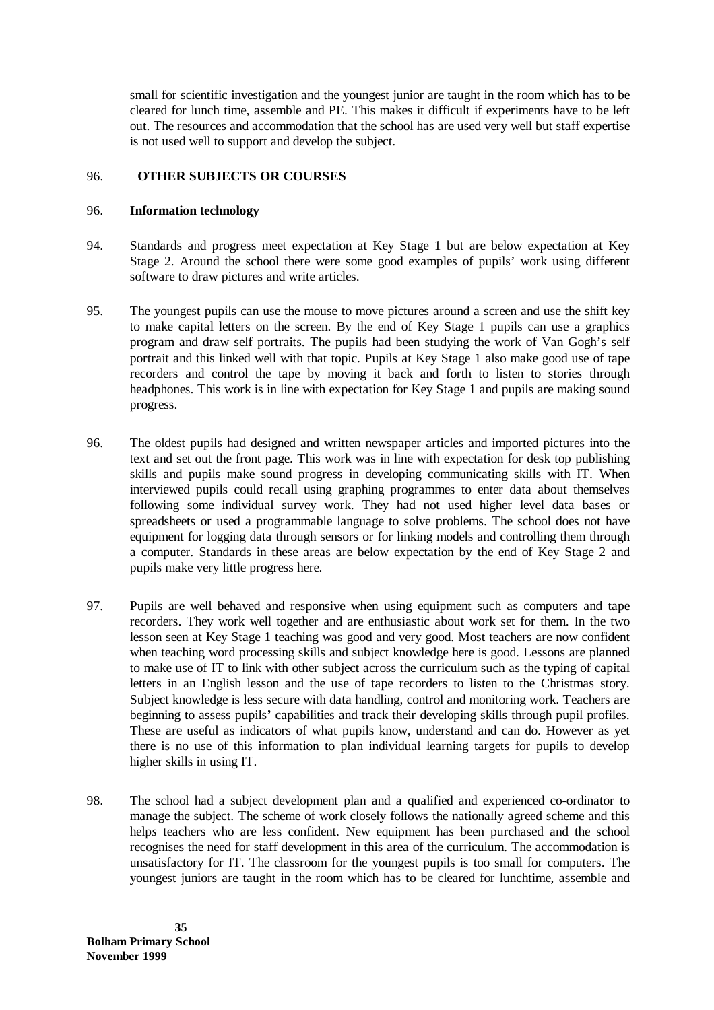small for scientific investigation and the youngest junior are taught in the room which has to be cleared for lunch time, assemble and PE. This makes it difficult if experiments have to be left out. The resources and accommodation that the school has are used very well but staff expertise is not used well to support and develop the subject.

#### 96. **OTHER SUBJECTS OR COURSES**

#### 96. **Information technology**

- 94. Standards and progress meet expectation at Key Stage 1 but are below expectation at Key Stage 2. Around the school there were some good examples of pupils' work using different software to draw pictures and write articles.
- 95. The youngest pupils can use the mouse to move pictures around a screen and use the shift key to make capital letters on the screen. By the end of Key Stage 1 pupils can use a graphics program and draw self portraits. The pupils had been studying the work of Van Gogh's self portrait and this linked well with that topic. Pupils at Key Stage 1 also make good use of tape recorders and control the tape by moving it back and forth to listen to stories through headphones. This work is in line with expectation for Key Stage 1 and pupils are making sound progress.
- 96. The oldest pupils had designed and written newspaper articles and imported pictures into the text and set out the front page. This work was in line with expectation for desk top publishing skills and pupils make sound progress in developing communicating skills with IT. When interviewed pupils could recall using graphing programmes to enter data about themselves following some individual survey work. They had not used higher level data bases or spreadsheets or used a programmable language to solve problems. The school does not have equipment for logging data through sensors or for linking models and controlling them through a computer. Standards in these areas are below expectation by the end of Key Stage 2 and pupils make very little progress here.
- 97. Pupils are well behaved and responsive when using equipment such as computers and tape recorders. They work well together and are enthusiastic about work set for them. In the two lesson seen at Key Stage 1 teaching was good and very good. Most teachers are now confident when teaching word processing skills and subject knowledge here is good. Lessons are planned to make use of IT to link with other subject across the curriculum such as the typing of capital letters in an English lesson and the use of tape recorders to listen to the Christmas story. Subject knowledge is less secure with data handling, control and monitoring work. Teachers are beginning to assess pupils' capabilities and track their developing skills through pupil profiles. These are useful as indicators of what pupils know, understand and can do. However as yet there is no use of this information to plan individual learning targets for pupils to develop higher skills in using IT.
- 98. The school had a subject development plan and a qualified and experienced co-ordinator to manage the subject. The scheme of work closely follows the nationally agreed scheme and this help*s* teachers who are less confident. New equipment has been purchased and the school recognises the need for staff development in this area of the curriculum. The accommodation is unsatisfactory for IT. The classroom for the youngest pupils is too small for computers. The youngest juniors are taught in the room which has to be cleared for lunchtime, assemble and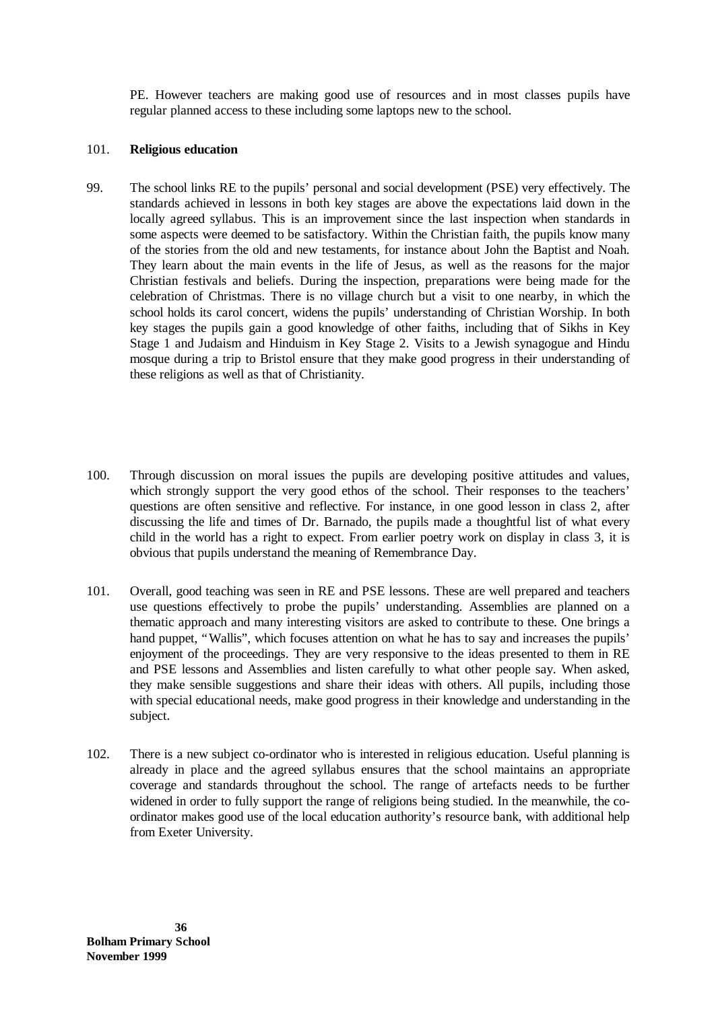PE. However teachers are making good use of resources and in most classes pupils have regular planned access to these including some laptops new to the school.

#### 101. **Religious education**

- 99. The school links RE to the pupils' personal and social development (PSE) very effectively. The standards achieved in lessons in both key stages are above the expectations laid down in the locally agreed syllabus. This is an improvement since the last inspection when standards in some aspects were deemed to be satisfactory. Within the Christian faith, the pupils know many of the stories from the old and new testaments, for instance about John the Baptist and Noah. They learn about the main events in the life of Jesus, as well as the reasons for the major Christian festivals and beliefs. During the inspection, preparations were being made for the celebration of Christmas. There is no village church but a visit to one nearby, in which the school holds its carol concert, widens the pupils' understanding of Christian Worship. In both key stages the pupils gain a good knowledge of other faiths, including that of Sikhs in Key Stage 1 and Judaism and Hinduism in Key Stage 2. Visits to a Jewish synagogue and Hindu mosque during a trip to Bristol ensure that they make good progress in their understanding of these religions as well as that of Christianity.
- 100. Through discussion on moral issues the pupils are developing positive attitudes and values, which strongly support the very good ethos of the school. Their responses to the teachers' questions are often sensitive and reflective. For instance, in one good lesson in class 2, after discussing the life and times of Dr. Barnado, the pupils made a thoughtful list of what every child in the world has a right to expect. From earlier poetry work on display in class 3, it is obvious that pupils understand the meaning of Remembrance Day.
- 101. Overall, good teaching was seen in RE and PSE lessons. These are well prepared and teachers use questions effectively to probe the pupils' understanding. Assemblies are planned on a thematic approach and many interesting visitors are asked to contribute to these. One brings a hand puppet, "Wallis", which focuses attention on what he has to say and increases the pupils' enjoyment of the proceedings. They are very responsive to the ideas presented to them in RE and PSE lessons and Assemblies and listen carefully to what other people say. When asked, they make sensible suggestions and share their ideas with others. All pupils, including those with special educational needs, make good progress in their knowledge and understanding in the subject.
- 102. There is a new subject co-ordinator who is interested in religious education. Useful planning is already in place and the agreed syllabus ensures that the school maintains an appropriate coverage and standards throughout the school. The range of artefacts needs to be further widened in order to fully support the range of religions being studied. In the meanwhile, the coordinator makes good use of the local education authority's resource bank, with additional help from Exeter University.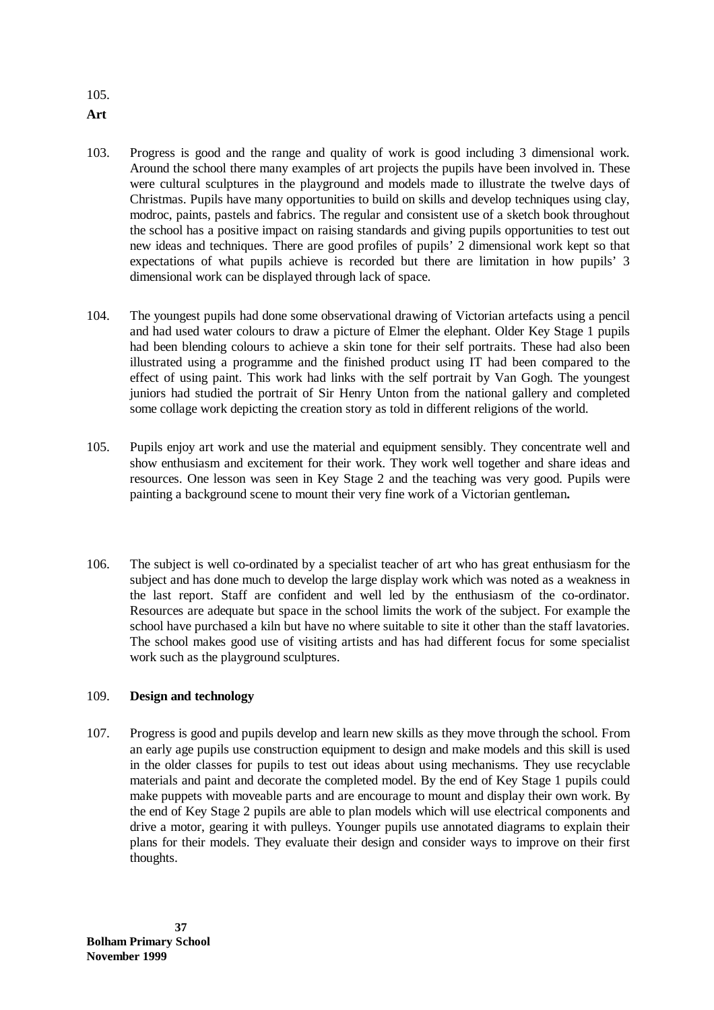105. **Art**

- 103. Progress is good and the range and quality of work is good including 3 dimensional work. Around the school there many examples of art projects the pupils have been involved in. These were cultural sculptures in the playground and models made to illustrate the twelve days of Christmas. Pupils have many opportunities to build on skills and develop techniques using clay, modroc, paints, pastels and fabrics. The regular and consistent use of a sketch book throughout the school has a positive impact on raising standards and giving pupils opportunities to test out new ideas and techniques. There are good profiles of pupils' 2 dimensional work kept so that expectations of what pupils achieve is recorded but there are limitation in how pupils' 3 dimensional work can be displayed through lack of space.
- 104. The youngest pupils had done some observational drawing of Victorian artefacts using a pencil and had used water colours to draw a picture of Elmer the elephant. Older Key Stage 1 pupils had been blending colours to achieve a skin tone for their self portraits. These had also been illustrated using a programme and the finished product using IT had been compared to the effect of using paint. This work had links with the self portrait by Van Gogh. The youngest juniors had studied the portrait of Sir Henry Unton from the national gallery and completed some collage work depicting the creation story as told in different religions of the world.
- 105. Pupils enjoy art work and use the material and equipment sensibly. They concentrate well and show enthusiasm and excitement for their work. They work well together and share ideas and resources. One lesson was seen in Key Stage 2 and the teaching was very good. Pupils were painting a background scene to mount their very fine work of a Victorian gentleman**.**
- 106. The subject is well co-ordinated by a specialist teacher of art who has great enthusiasm for the subject and has done much to develop the large display work which was noted as a weakness in the last report. Staff are confident and well led by the enthusiasm of the co-ordinator. Resources are adequate but space in the school limits the work of the subject. For example the school have purchased a kiln but have no where suitable to site it other than the staff lavatories. The school makes good use of visiting artists and has had different focus for some specialist work such as the playground sculptures.

#### 109. **Design and technology**

107. Progress is good and pupils develop and learn new skills as they move through the school. From an early age pupils use construction equipment to design and make models and this skill is used in the older classes for pupils to test out ideas about using mechanisms. They use recyclable materials and paint and decorate the completed model. By the end of Key Stage 1 pupils could make puppets with moveable parts and are encourage to mount and display their own work. By the end of Key Stage 2 pupils are able to plan models which will use electrical components and drive a motor, gearing it with pulleys. Younger pupils use annotated diagrams to explain their plans for their models. They evaluate their design and consider ways to improve on their first thoughts.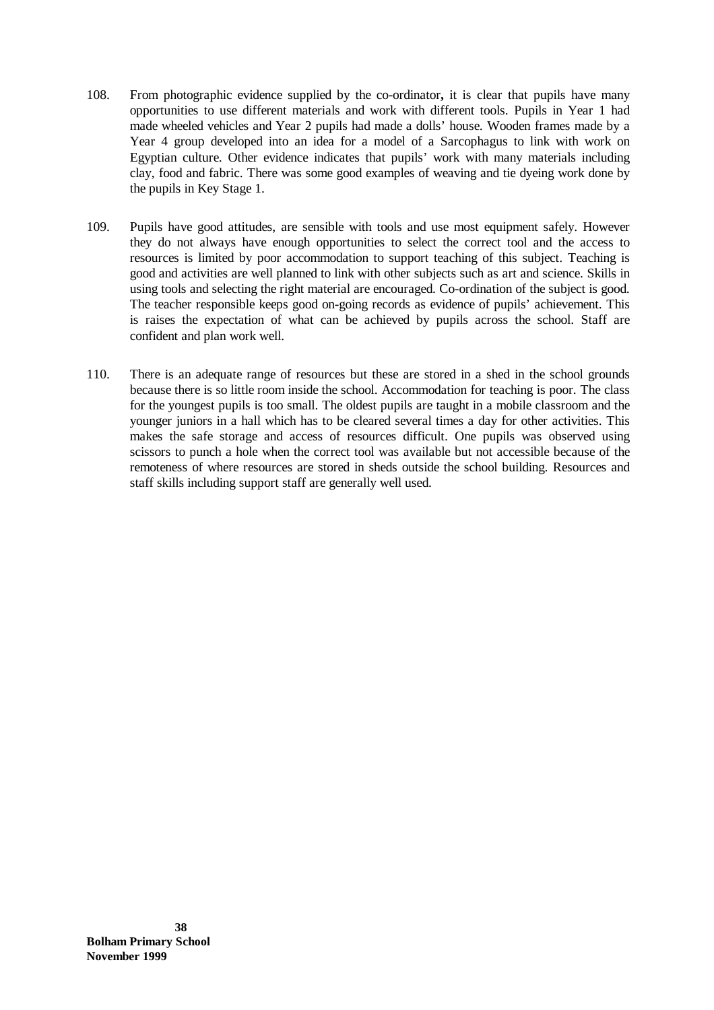- 108. From photographic evidence supplied by the co-ordinator**,** it is clear that pupils have many opportunities to use different materials and work with different tools. Pupils in Year 1 had made wheeled vehicles and Year 2 pupils had made a dolls' house. Wooden frames made by a Year 4 group developed into an idea for a model of a Sarcophagus to link with work on Egyptian culture. Other evidence indicates that pupils' work with many materials including clay, food and fabric. There was some good examples of weaving and tie dyeing work done by the pupils in Key Stage 1.
- 109. Pupils have good attitudes, are sensible with tools and use most equipment safely. However they do not always have enough opportunities to select the correct tool and the access to resources is limited by poor accommodation to support teaching of this subject. Teaching is good and activities are well planned to link with other subjects such as art and science. Skills in using tools and selecting the right material are encouraged. Co-ordination of the subject is good. The teacher responsible keeps good on-going records as evidence of pupils' achievement. This is raises the expectation of what can be achieved by pupils across the school. Staff are confident and plan work well.
- 110. There is an adequate range of resources but these are stored in a shed in the school grounds because there is so little room inside the school. Accommodation for teaching is poor. The class for the youngest pupils is too small. The oldest pupils are taught in a mobile classroom and the younger juniors in a hall which has to be cleared several times a day for other activities. This makes the safe storage and access of resources difficult. One pupils was observed using scissors to punch a hole when the correct tool was available but not accessible because of the remoteness of where resources are stored in sheds outside the school building. Resources and staff skills including support staff are generally well used.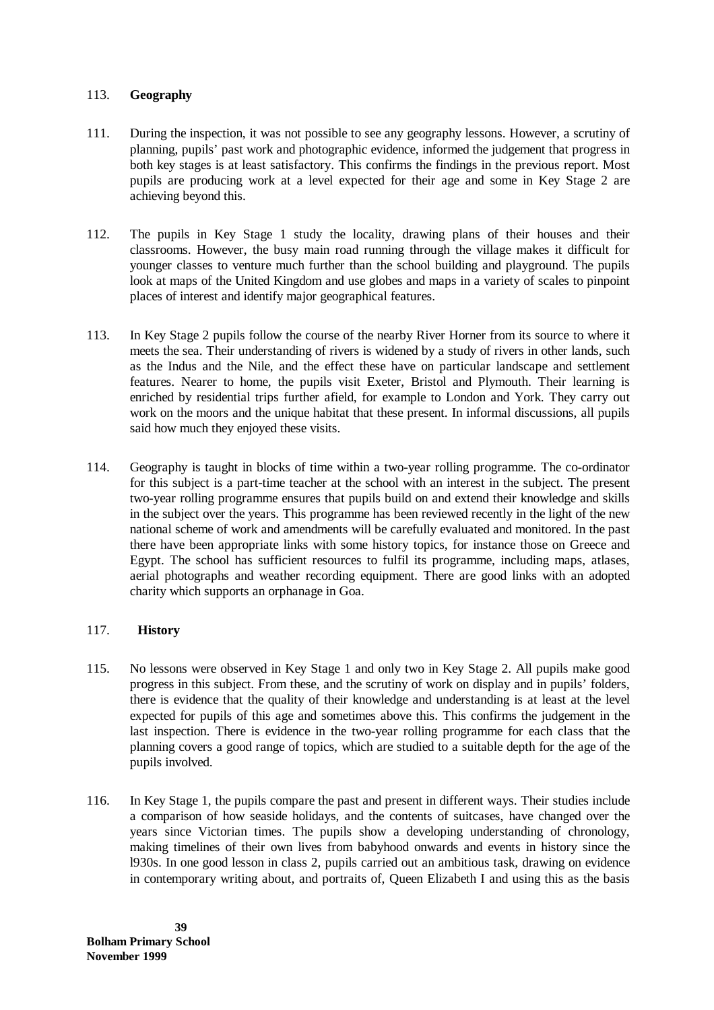#### 113. **Geography**

- 111. During the inspection, it was not possible to see any geography lessons. However, a scrutiny of planning, pupils' past work and photographic evidence, informed the judgement that progress in both key stages is at least satisfactory. This confirms the findings in the previous report. Most pupils are producing work at a level expected for their age and some in Key Stage 2 are achieving beyond this.
- 112. The pupils in Key Stage 1 study the locality, drawing plans of their houses and their classrooms. However, the busy main road running through the village makes it difficult for younger classes to venture much further than the school building and playground. The pupils look at maps of the United Kingdom and use globes and maps in a variety of scales to pinpoint places of interest and identify major geographical features.
- 113. In Key Stage 2 pupils follow the course of the nearby River Horner from its source to where it meets the sea. Their understanding of rivers is widened by a study of rivers in other lands, such as the Indus and the Nile, and the effect these have on particular landscape and settlement features. Nearer to home, the pupils visit Exeter, Bristol and Plymouth. Their learning is enriched by residential trips further afield, for example to London and York. They carry out work on the moors and the unique habitat that these present. In informal discussions, all pupils said how much they enjoyed these visits.
- 114. Geography is taught in blocks of time within a two-year rolling programme. The co-ordinator for this subject is a part-time teacher at the school with an interest in the subject. The present two-year rolling programme ensures that pupils build on and extend their knowledge and skills in the subject over the years. This programme has been reviewed recently in the light of the new national scheme of work and amendments will be carefully evaluated and monitored. In the past there have been appropriate links with some history topics, for instance those on Greece and Egypt. The school has sufficient resources to fulfil its programme, including maps, atlases, aerial photographs and weather recording equipment. There are good links with an adopted charity which supports an orphanage in Goa.

### 117. **History**

- 115. No lessons were observed in Key Stage 1 and only two in Key Stage 2. All pupils make good progress in this subject. From these, and the scrutiny of work on display and in pupils' folders, there is evidence that the quality of their knowledge and understanding is at least at the level expected for pupils of this age and sometimes above this. This confirms the judgement in the last inspection. There is evidence in the two-year rolling programme for each class that the planning covers a good range of topics, which are studied to a suitable depth for the age of the pupils involved.
- 116. In Key Stage 1, the pupils compare the past and present in different ways. Their studies include a comparison of how seaside holidays, and the contents of suitcases, have changed over the years since Victorian times. The pupils show a developing understanding of chronology, making timelines of their own lives from babyhood onwards and events in history since the l930s. In one good lesson in class 2, pupils carried out an ambitious task, drawing on evidence in contemporary writing about, and portraits of, Queen Elizabeth I and using this as the basis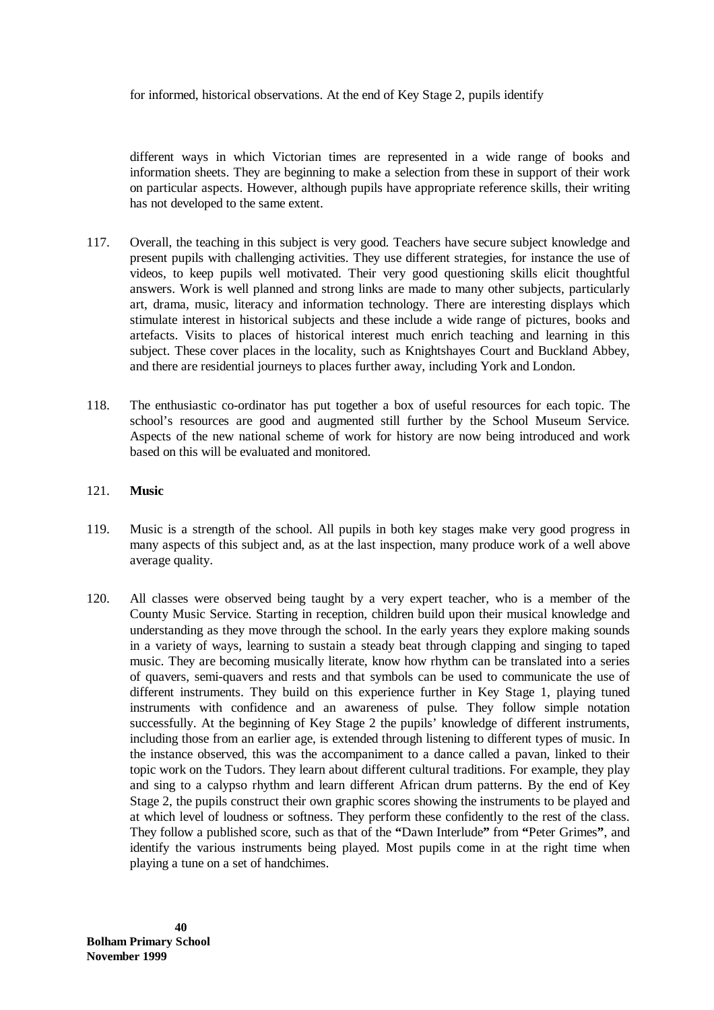for informed, historical observations. At the end of Key Stage 2, pupils identify

different ways in which Victorian times are represented in a wide range of books and information sheets. They are beginning to make a selection from these in support of their work on particular aspects. However, although pupils have appropriate reference skills, their writing has not developed to the same extent.

- 117. Overall, the teaching in this subject is very good. Teachers have secure subject knowledge and present pupils with challenging activities. They use different strategies, for instance the use of videos, to keep pupils well motivated. Their very good questioning skills elicit thoughtful answers. Work is well planned and strong links are made to many other subjects, particularly art, drama, music, literacy and information technology. There are interesting displays which stimulate interest in historical subjects and these include a wide range of pictures, books and artefacts. Visits to places of historical interest much enrich teaching and learning in this subject. These cover places in the locality, such as Knightshayes Court and Buckland Abbey, and there are residential journeys to places further away, including York and London.
- 118. The enthusiastic co-ordinator has put together a box of useful resources for each topic. The school's resources are good and augmented still further by the School Museum Service. Aspects of the new national scheme of work for history are now being introduced and work based on this will be evaluated and monitored.

#### 121. **Music**

- 119. Music is a strength of the school. All pupils in both key stages make very good progress in many aspects of this subject and, as at the last inspection, many produce work of a well above average quality.
- 120. All classes were observed being taught by a very expert teacher, who is a member of the County Music Service. Starting in reception, children build upon their musical knowledge and understanding as they move through the school. In the early years they explore making sounds in a variety of ways, learning to sustain a steady beat through clapping and singing to taped music. They are becoming musically literate, know how rhythm can be translated into a series of quavers, semi-quavers and rests and that symbols can be used to communicate the use of different instruments. They build on this experience further in Key Stage 1, playing tuned instruments with confidence and an awareness of pulse. They follow simple notation successfully. At the beginning of Key Stage 2 the pupils' knowledge of different instruments, including those from an earlier age, is extended through listening to different types of music. In the instance observed, this was the accompaniment to a dance called a pavan, linked to their topic work on the Tudors. They learn about different cultural traditions. For example, they play and sing to a calypso rhythm and learn different African drum patterns. By the end of Key Stage 2, the pupils construct their own graphic scores showing the instruments to be played and at which level of loudness or softness. They perform these confidently to the rest of the class. They follow a published score, such as that of the **"**Dawn Interlude**"** from **"**Peter Grimes**"**, and identify the various instruments being played. Most pupils come in at the right time when playing a tune on a set of handchimes.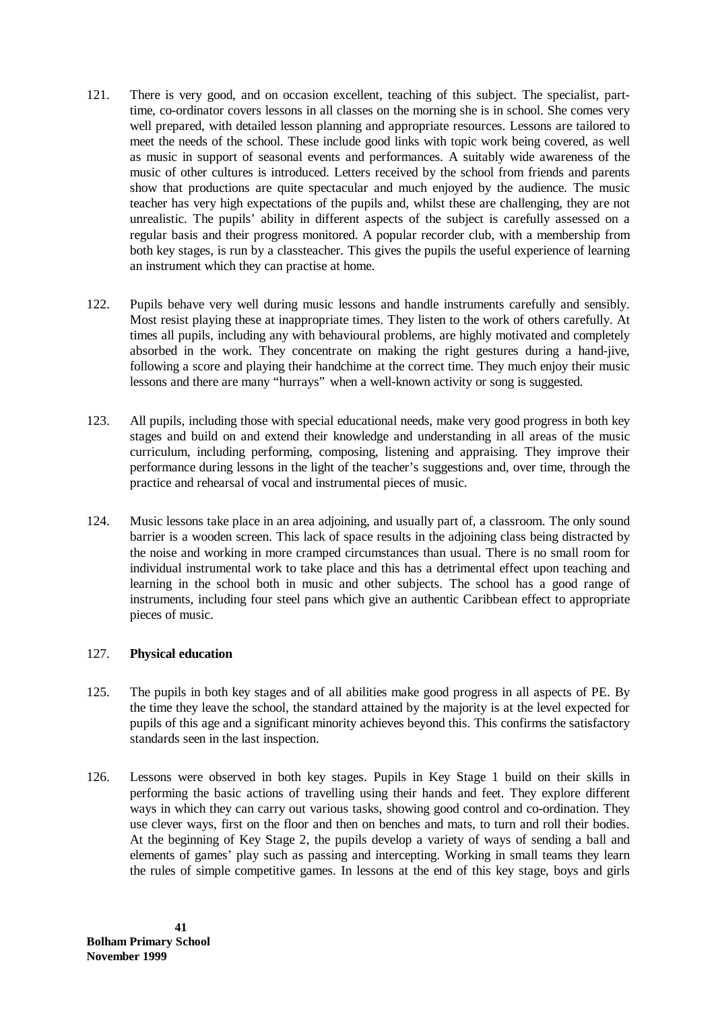- 121. There is very good, and on occasion excellent, teaching of this subject. The specialist, parttime, co-ordinator covers lessons in all classes on the morning she is in school. She comes very well prepared, with detailed lesson planning and appropriate resources. Lessons are tailored to meet the needs of the school. These include good links with topic work being covered, as well as music in support of seasonal events and performances. A suitably wide awareness of the music of other cultures is introduced. Letters received by the school from friends and parents show that productions are quite spectacular and much enjoyed by the audience. The music teacher has very high expectations of the pupils and, whilst these are challenging, they are not unrealistic. The pupils' ability in different aspects of the subject is carefully assessed on a regular basis and their progress monitored. A popular recorder club, with a membership from both key stages, is run by a classteacher. This gives the pupils the useful experience of learning an instrument which they can practise at home.
- 122. Pupils behave very well during music lessons and handle instruments carefully and sensibly. Most resist playing these at inappropriate times. They listen to the work of others carefully. At times all pupils, including any with behavioural problems, are highly motivated and completely absorbed in the work. They concentrate on making the right gestures during a hand-jive, following a score and playing their handchime at the correct time. They much enjoy their music lessons and there are many "hurrays" when a well-known activity or song is suggested.
- 123. All pupils, including those with special educational needs, make very good progress in both key stages and build on and extend their knowledge and understanding in all areas of the music curriculum, including performing, composing, listening and appraising. They improve their performance during lessons in the light of the teacher's suggestions and, over time, through the practice and rehearsal of vocal and instrumental pieces of music.
- 124. Music lessons take place in an area adjoining, and usually part of, a classroom. The only sound barrier is a wooden screen. This lack of space results in the adjoining class being distracted by the noise and working in more cramped circumstances than usual. There is no small room for individual instrumental work to take place and this has a detrimental effect upon teaching and learning in the school both in music and other subjects. The school has a good range of instruments, including four steel pans which give an authentic Caribbean effect to appropriate pieces of music.

#### 127. **Physical education**

- 125. The pupils in both key stages and of all abilities make good progress in all aspects of PE. By the time they leave the school, the standard attained by the majority is at the level expected for pupils of this age and a significant minority achieves beyond this. This confirms the satisfactory standards seen in the last inspection.
- 126. Lessons were observed in both key stages. Pupils in Key Stage 1 build on their skills in performing the basic actions of travelling using their hands and feet. They explore different ways in which they can carry out various tasks, showing good control and co-ordination. They use clever ways, first on the floor and then on benches and mats, to turn and roll their bodies. At the beginning of Key Stage 2, the pupils develop a variety of ways of sending a ball and elements of games' play such as passing and intercepting. Working in small teams they learn the rules of simple competitive games. In lessons at the end of this key stage, boys and girls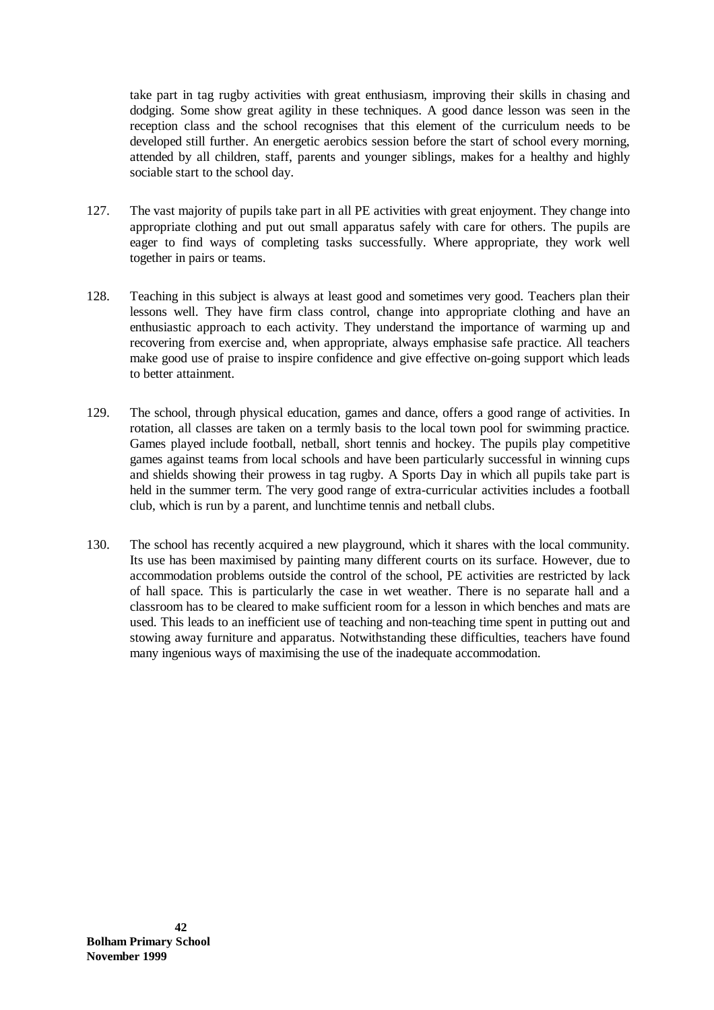take part in tag rugby activities with great enthusiasm, improving their skills in chasing and dodging. Some show great agility in these techniques. A good dance lesson was seen in the reception class and the school recognises that this element of the curriculum needs to be developed still further. An energetic aerobics session before the start of school every morning, attended by all children, staff, parents and younger siblings, makes for a healthy and highly sociable start to the school day.

- 127. The vast majority of pupils take part in all PE activities with great enjoyment. They change into appropriate clothing and put out small apparatus safely with care for others. The pupils are eager to find ways of completing tasks successfully. Where appropriate, they work well together in pairs or teams.
- 128. Teaching in this subject is always at least good and sometimes very good. Teachers plan their lessons well. They have firm class control, change into appropriate clothing and have an enthusiastic approach to each activity. They understand the importance of warming up and recovering from exercise and, when appropriate, always emphasise safe practice. All teachers make good use of praise to inspire confidence and give effective on-going support which leads to better attainment.
- 129. The school, through physical education, games and dance, offers a good range of activities. In rotation, all classes are taken on a termly basis to the local town pool for swimming practice. Games played include football, netball, short tennis and hockey. The pupils play competitive games against teams from local schools and have been particularly successful in winning cups and shields showing their prowess in tag rugby. A Sports Day in which all pupils take part is held in the summer term. The very good range of extra-curricular activities includes a football club, which is run by a parent, and lunchtime tennis and netball clubs.
- 130. The school has recently acquired a new playground, which it shares with the local community. Its use has been maximised by painting many different courts on its surface. However, due to accommodation problems outside the control of the school, PE activities are restricted by lack of hall space. This is particularly the case in wet weather. There is no separate hall and a classroom has to be cleared to make sufficient room for a lesson in which benches and mats are used. This leads to an inefficient use of teaching and non-teaching time spent in putting out and stowing away furniture and apparatus. Notwithstanding these difficulties, teachers have found many ingenious ways of maximising the use of the inadequate accommodation.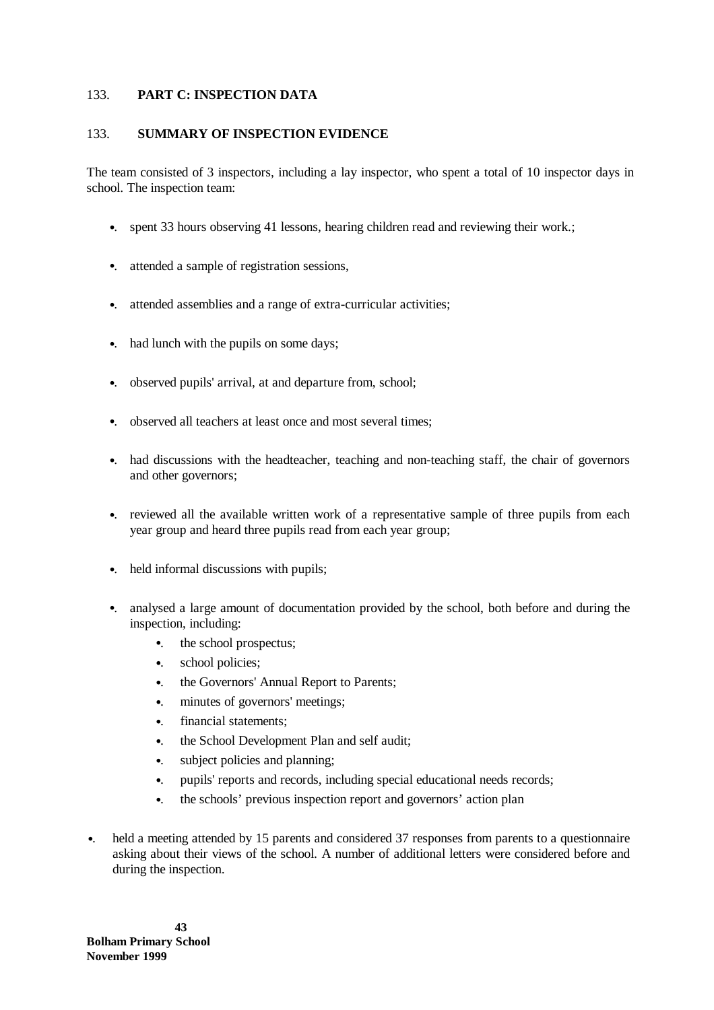### 133. **PART C: INSPECTION DATA**

#### 133. **SUMMARY OF INSPECTION EVIDENCE**

The team consisted of 3 inspectors, including a lay inspector, who spent a total of 10 inspector days in school. The inspection team:

- •. spent 33 hours observing 41 lessons, hearing children read and reviewing their work.;
- •. attended a sample of registration sessions,
- •. attended assemblies and a range of extra-curricular activities;
- •. had lunch with the pupils on some days;
- •. observed pupils' arrival, at and departure from, school;
- •. observed all teachers at least once and most several times;
- •. had discussions with the headteacher, teaching and non-teaching staff, the chair of governors and other governors;
- •. reviewed all the available written work of a representative sample of three pupils from each year group and heard three pupils read from each year group;
- •. held informal discussions with pupils;
- •. analysed a large amount of documentation provided by the school, both before and during the inspection, including:
	- •. the school prospectus;
	- •. school policies;
	- •. the Governors' Annual Report to Parents;
	- •. minutes of governors' meetings;
	- •. financial statements;
	- •. the School Development Plan and self audit;
	- •. subject policies and planning;
	- •. pupils' reports and records, including special educational needs records;
	- •. the schools' previous inspection report and governors' action plan
- •. held a meeting attended by 15 parents and considered 37 responses from parents to a questionnaire asking about their views of the school. A number of additional letters were considered before and during the inspection.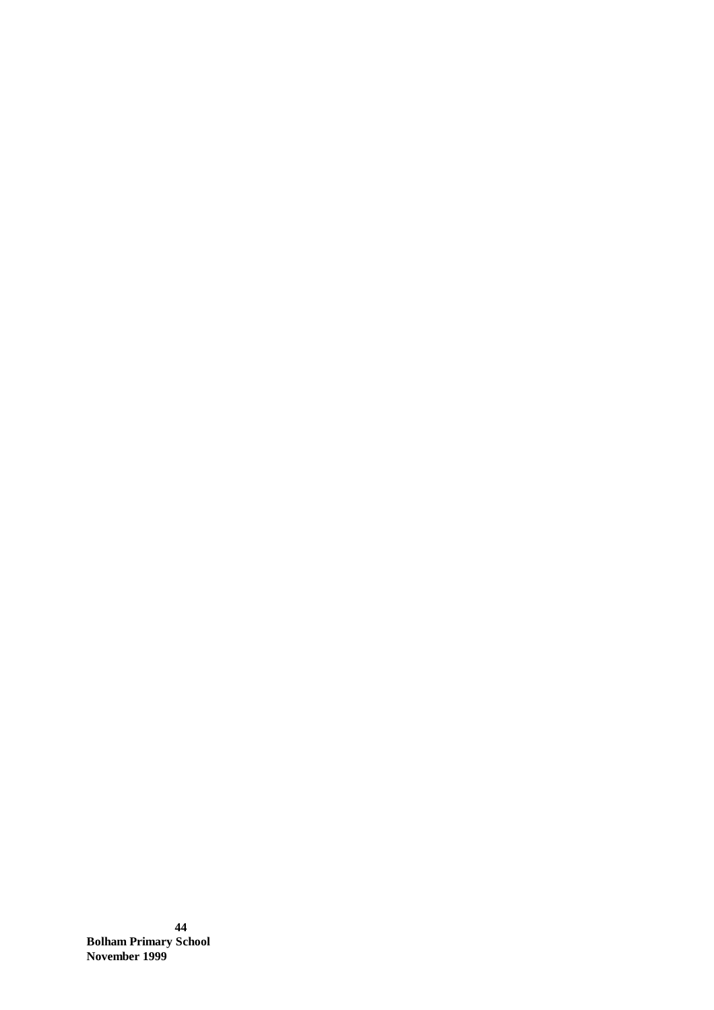**44 Bolham Primary School November 1999**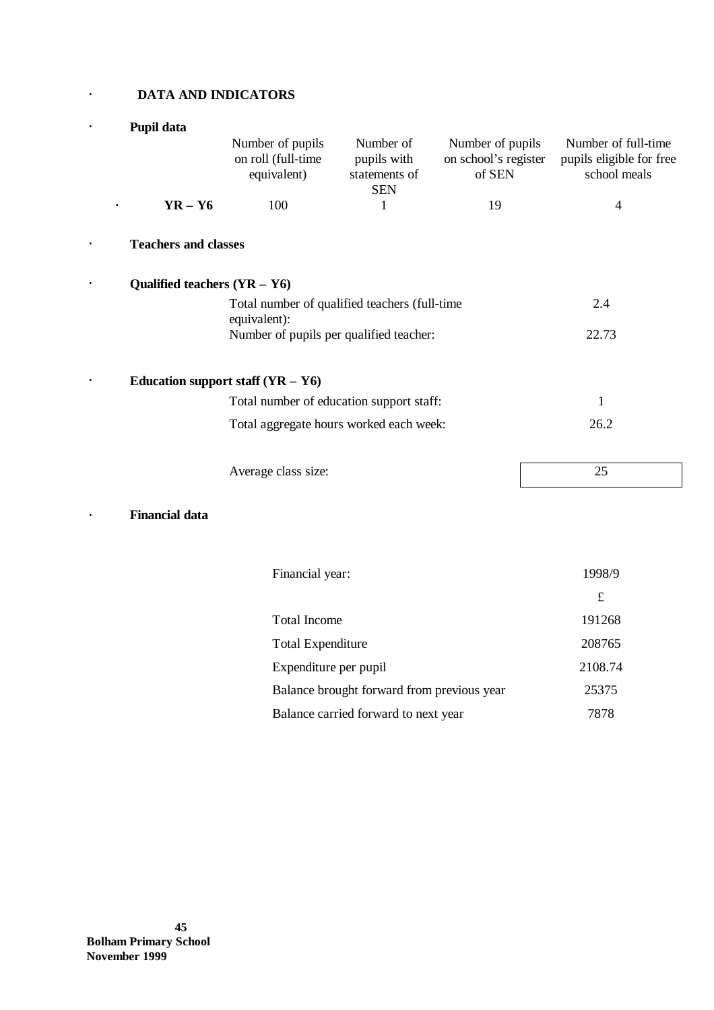· **DATA AND INDICATORS**

|           | Pupil data                     |                                                               |                                                         |                                                    |                                                                 |  |
|-----------|--------------------------------|---------------------------------------------------------------|---------------------------------------------------------|----------------------------------------------------|-----------------------------------------------------------------|--|
|           |                                | Number of pupils<br>on roll (full-time<br>equivalent)         | Number of<br>pupils with<br>statements of<br><b>SEN</b> | Number of pupils<br>on school's register<br>of SEN | Number of full-time<br>pupils eligible for free<br>school meals |  |
|           | $YR - Y6$                      | 100                                                           | 1                                                       | 19                                                 | 4                                                               |  |
|           | <b>Teachers and classes</b>    |                                                               |                                                         |                                                    |                                                                 |  |
|           | Qualified teachers $(YR - Y6)$ |                                                               |                                                         |                                                    |                                                                 |  |
|           |                                | Total number of qualified teachers (full-time<br>equivalent): |                                                         |                                                    | 2.4                                                             |  |
|           |                                | Number of pupils per qualified teacher:                       |                                                         |                                                    | 22.73                                                           |  |
| $\bullet$ |                                | Education support staff $(YR - Y6)$                           |                                                         |                                                    |                                                                 |  |
|           |                                | Total number of education support staff:                      | 1                                                       |                                                    |                                                                 |  |
|           |                                | Total aggregate hours worked each week:                       |                                                         |                                                    | 26.2                                                            |  |
|           |                                | Average class size:                                           |                                                         |                                                    | 25                                                              |  |
|           | Einengiel dete                 |                                                               |                                                         |                                                    |                                                                 |  |

#### · **Financial data**

| Financial year:                            | 1998/9  |  |
|--------------------------------------------|---------|--|
|                                            | £       |  |
| <b>Total Income</b>                        | 191268  |  |
| <b>Total Expenditure</b>                   | 208765  |  |
| Expenditure per pupil                      | 2108.74 |  |
| Balance brought forward from previous year | 25375   |  |
| Balance carried forward to next year       | 7878    |  |